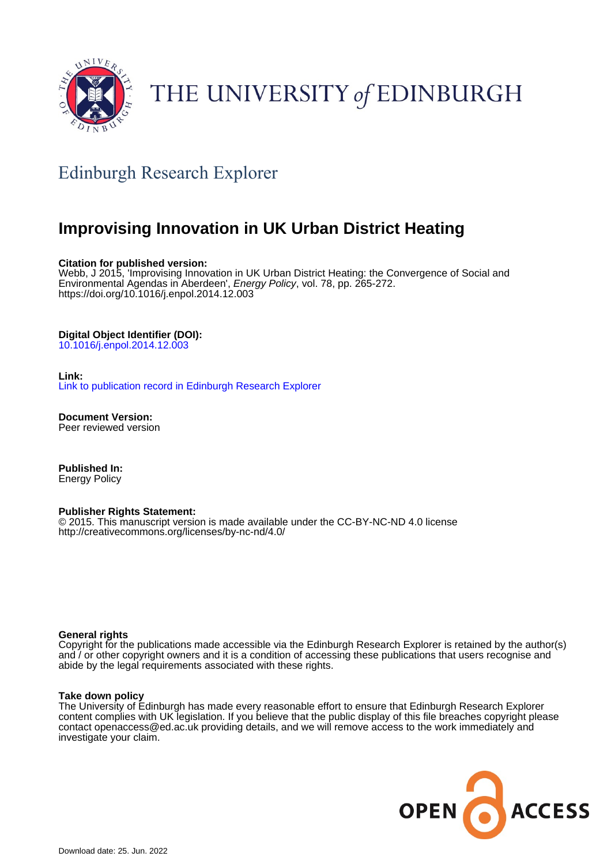

# THE UNIVERSITY of EDINBURGH

# Edinburgh Research Explorer

# **Improvising Innovation in UK Urban District Heating**

#### **Citation for published version:**

Webb, J 2015, 'Improvising Innovation in UK Urban District Heating: the Convergence of Social and Environmental Agendas in Aberdeen', Energy Policy, vol. 78, pp. 265-272. <https://doi.org/10.1016/j.enpol.2014.12.003>

#### **Digital Object Identifier (DOI):**

[10.1016/j.enpol.2014.12.003](https://doi.org/10.1016/j.enpol.2014.12.003)

#### **Link:**

[Link to publication record in Edinburgh Research Explorer](https://www.research.ed.ac.uk/en/publications/1ae53656-0004-48e6-b03a-eb7c1bbfefb1)

**Document Version:** Peer reviewed version

**Published In:** Energy Policy

#### **Publisher Rights Statement:**

© 2015. This manuscript version is made available under the CC-BY-NC-ND 4.0 license http://creativecommons.org/licenses/by-nc-nd/4.0/

#### **General rights**

Copyright for the publications made accessible via the Edinburgh Research Explorer is retained by the author(s) and / or other copyright owners and it is a condition of accessing these publications that users recognise and abide by the legal requirements associated with these rights.

#### **Take down policy**

The University of Edinburgh has made every reasonable effort to ensure that Edinburgh Research Explorer content complies with UK legislation. If you believe that the public display of this file breaches copyright please contact openaccess@ed.ac.uk providing details, and we will remove access to the work immediately and investigate your claim.

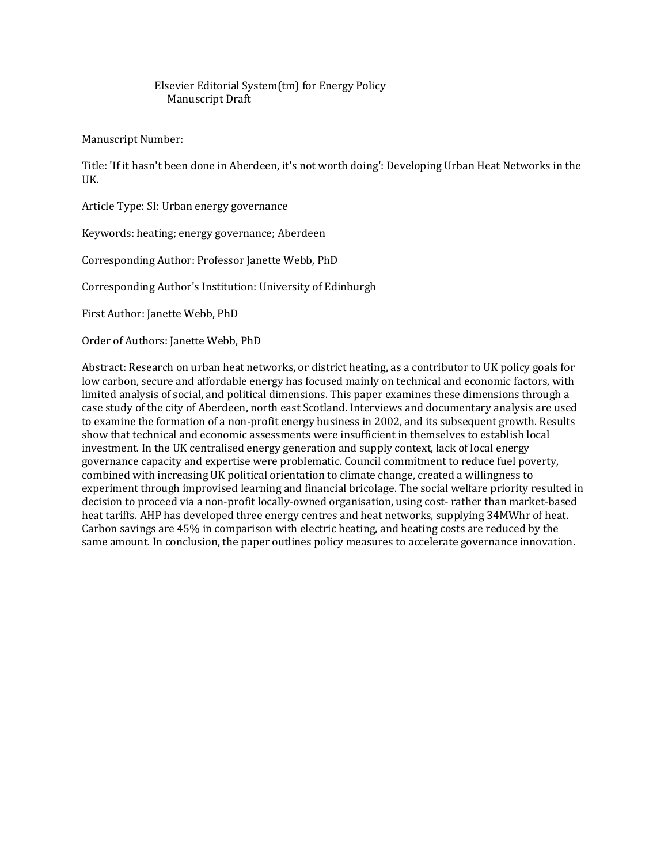#### Elsevier Editorial System(tm) for Energy Policy Manuscript Draft

Manuscript Number:

Title: 'If it hasn't been done in Aberdeen, it's not worth doing': Developing Urban Heat Networks in the UK.

Article Type: SI: Urban energy governance

Keywords: heating; energy governance; Aberdeen

Corresponding Author: Professor Janette Webb, PhD

Corresponding Author's Institution: University of Edinburgh

First Author: Janette Webb, PhD

Order of Authors: Janette Webb, PhD

Abstract: Research on urban heat networks, or district heating, as a contributor to UK policy goals for low carbon, secure and affordable energy has focused mainly on technical and economic factors, with limited analysis of social, and political dimensions. This paper examines these dimensions through a case study of the city of Aberdeen, north east Scotland. Interviews and documentary analysis are used to examine the formation of a non-profit energy business in 2002, and its subsequent growth. Results show that technical and economic assessments were insufficient in themselves to establish local investment. In the UK centralised energy generation and supply context, lack of local energy governance capacity and expertise were problematic. Council commitment to reduce fuel poverty, combined with increasing UK political orientation to climate change, created a willingness to experiment through improvised learning and financial bricolage. The social welfare priority resulted in decision to proceed via a non-profit locally-owned organisation, using cost- rather than market-based heat tariffs. AHP has developed three energy centres and heat networks, supplying 34MWhr of heat. Carbon savings are 45% in comparison with electric heating, and heating costs are reduced by the same amount. In conclusion, the paper outlines policy measures to accelerate governance innovation.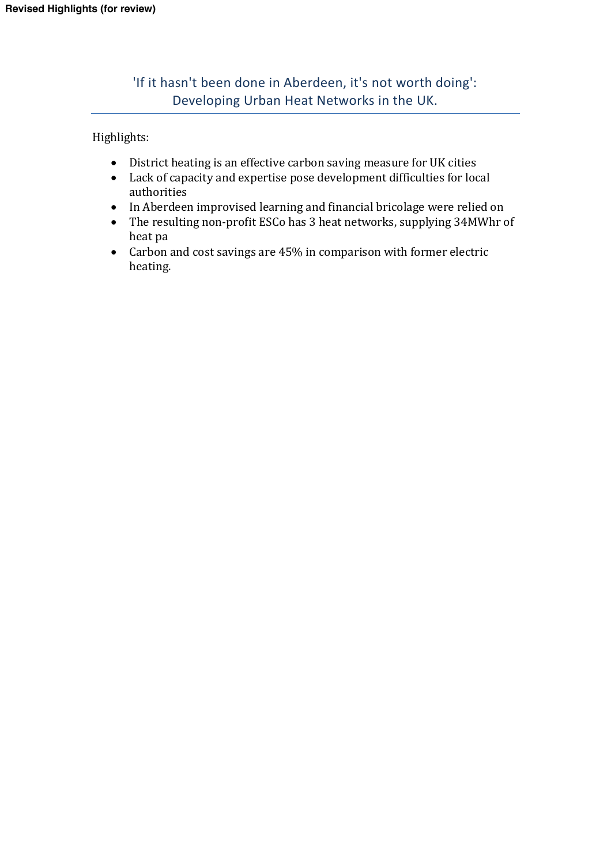'If it hasn't been done in Aberdeen, it's not worth doing': Developing Urban Heat Networks in the UK.

Highlights:

- District heating is an effective carbon saving measure for UK cities
- Lack of capacity and expertise pose development difficulties for local authorities
- In Aberdeen improvised learning and financial bricolage were relied on
- The resulting non-profit ESCo has 3 heat networks, supplying 34MWhr of heat pa
- Carbon and cost savings are 45% in comparison with former electric heating.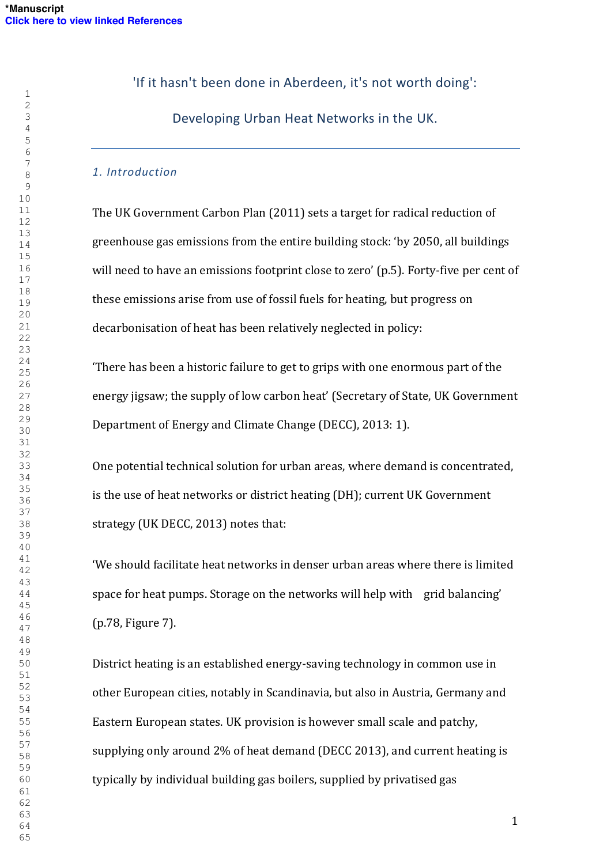'If it hasn't been done in Aberdeen, it's not worth doing':

Developing Urban Heat Networks in the UK.

### *1. Introduction*

The UK Government Carbon Plan (2011) sets a target for radical reduction of greenhouse gas emissions from the entire building stock: 'by 2050, all buildings will need to have an emissions footprint close to zero' (p.5). Forty-five per cent of these emissions arise from use of fossil fuels for heating, but progress on decarbonisation of heat has been relatively neglected in policy:

'There has been a historic failure to get to grips with one enormous part of the energy jigsaw; the supply of low carbon heat' (Secretary of State, UK Government Department of Energy and Climate Change (DECC), 2013: 1).

One potential technical solution for urban areas, where demand is concentrated, is the use of heat networks or district heating (DH); current UK Government strategy (UK DECC, 2013) notes that:

'We should facilitate heat networks in denser urban areas where there is limited space for heat pumps. Storage on the networks will help with grid balancing' (p.78, Figure 7).

District heating is an established energy-saving technology in common use in other European cities, notably in Scandinavia, but also in Austria, Germany and Eastern European states. UK provision is however small scale and patchy, supplying only around 2% of heat demand (DECC 2013), and current heating is typically by individual building gas boilers, supplied by privatised gas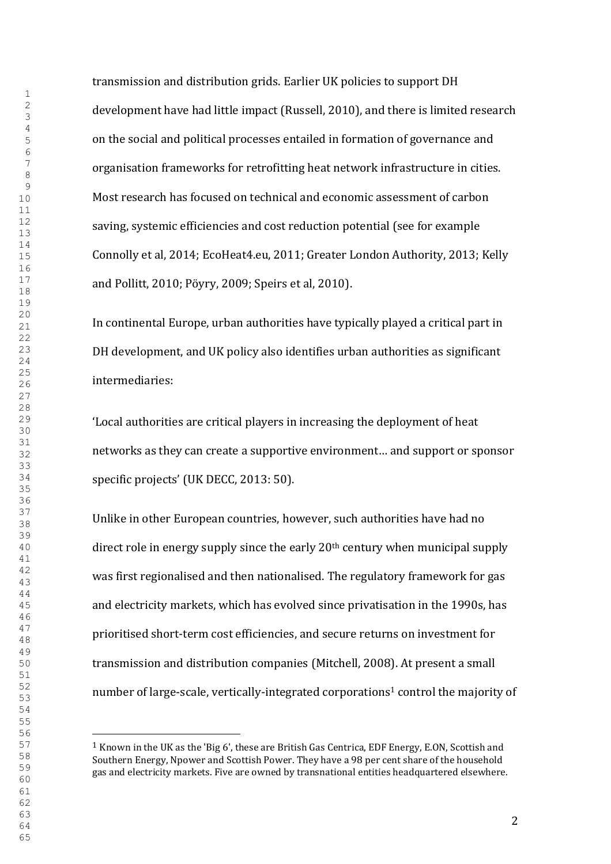transmission and distribution grids. Earlier UK policies to support DH development have had little impact (Russell, 2010), and there is limited research on the social and political processes entailed in formation of governance and organisation frameworks for retrofitting heat network infrastructure in cities. Most research has focused on technical and economic assessment of carbon saving, systemic efficiencies and cost reduction potential (see for example Connolly et al, 2014; EcoHeat4.eu, 2011; Greater London Authority, 2013; Kelly and Pollitt, 2010; Pöyry, 2009; Speirs et al, 2010).

In continental Europe, urban authorities have typically played a critical part in DH development, and UK policy also identifies urban authorities as significant intermediaries:

'Local authorities are critical players in increasing the deployment of heat networks as they can create a supportive environment… and support or sponsor specific projects' (UK DECC, 2013: 50).

Unlike in other European countries, however, such authorities have had no direct role in energy supply since the early 20th century when municipal supply was first regionalised and then nationalised. The regulatory framework for gas and electricity markets, which has evolved since privatisation in the 1990s, has prioritised short-term cost efficiencies, and secure returns on investment for transmission and distribution companies (Mitchell, 2008). At present a small number of large-scale, vertically-integrated corporations<sup>1</sup> control the majority of

<sup>&</sup>lt;sup>1</sup> Known in the UK as the 'Big 6', these are British Gas Centrica, EDF Energy, E.ON, Scottish and Southern Energy, Npower and Scottish Power. They have a 98 per cent share of the household gas and electricity markets. Five are owned by transnational entities headquartered elsewhere.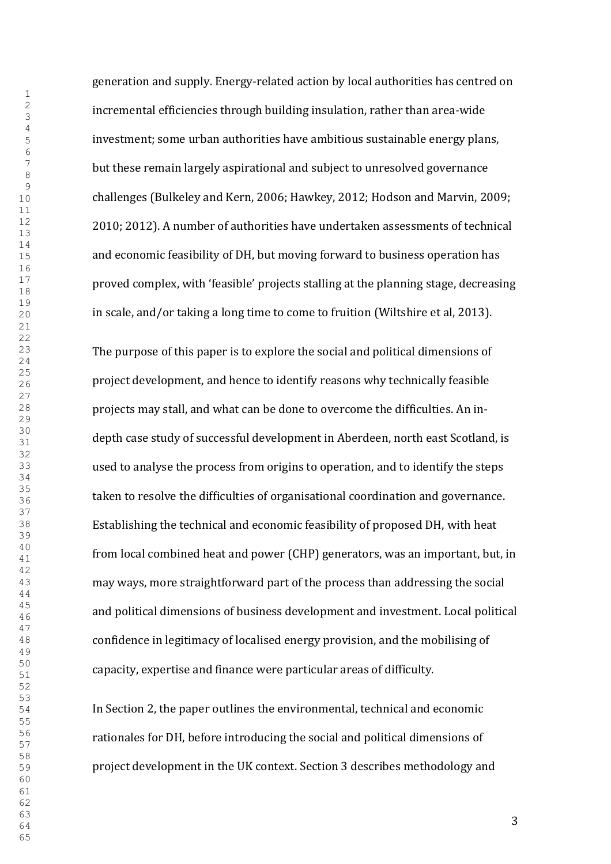generation and supply. Energy-related action by local authorities has centred on incremental efficiencies through building insulation, rather than area-wide investment; some urban authorities have ambitious sustainable energy plans, but these remain largely aspirational and subject to unresolved governance challenges (Bulkeley and Kern, 2006; Hawkey, 2012; Hodson and Marvin, 2009; 2010; 2012). A number of authorities have undertaken assessments of technical and economic feasibility of DH, but moving forward to business operation has proved complex, with 'feasible' projects stalling at the planning stage, decreasing in scale, and/or taking a long time to come to fruition (Wiltshire et al, 2013).

The purpose of this paper is to explore the social and political dimensions of project development, and hence to identify reasons why technically feasible projects may stall, and what can be done to overcome the difficulties. An indepth case study of successful development in Aberdeen, north east Scotland, is used to analyse the process from origins to operation, and to identify the steps taken to resolve the difficulties of organisational coordination and governance. Establishing the technical and economic feasibility of proposed DH, with heat from local combined heat and power (CHP) generators, was an important, but, in may ways, more straightforward part of the process than addressing the social and political dimensions of business development and investment. Local political confidence in legitimacy of localised energy provision, and the mobilising of capacity, expertise and finance were particular areas of difficulty.

In Section 2, the paper outlines the environmental, technical and economic rationales for DH, before introducing the social and political dimensions of project development in the UK context. Section 3 describes methodology and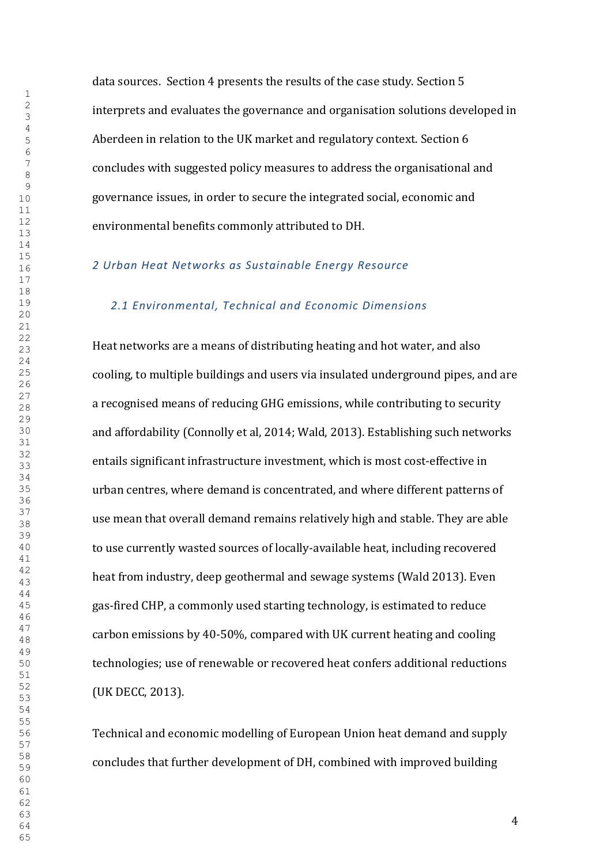data sources. Section 4 presents the results of the case study. Section 5 interprets and evaluates the governance and organisation solutions developed in Aberdeen in relation to the UK market and regulatory context. Section 6 concludes with suggested policy measures to address the organisational and governance issues, in order to secure the integrated social, economic and environmental benefits commonly attributed to DH.

### *Urban Heat Networks as Sustainable Energy Resource*

#### *2.1 Environmental, Technical and Economic Dimensions*

Heat networks are a means of distributing heating and hot water, and also cooling, to multiple buildings and users via insulated underground pipes, and are a recognised means of reducing GHG emissions, while contributing to security and affordability (Connolly et al, 2014; Wald, 2013). Establishing such networks entails significant infrastructure investment, which is most cost-effective in urban centres, where demand is concentrated, and where different patterns of use mean that overall demand remains relatively high and stable. They are able to use currently wasted sources of locally-available heat, including recovered heat from industry, deep geothermal and sewage systems (Wald 2013). Even gas-fired CHP, a commonly used starting technology, is estimated to reduce carbon emissions by 40-50%, compared with UK current heating and cooling technologies; use of renewable or recovered heat confers additional reductions (UK DECC, 2013).

Technical and economic modelling of European Union heat demand and supply concludes that further development of DH, combined with improved building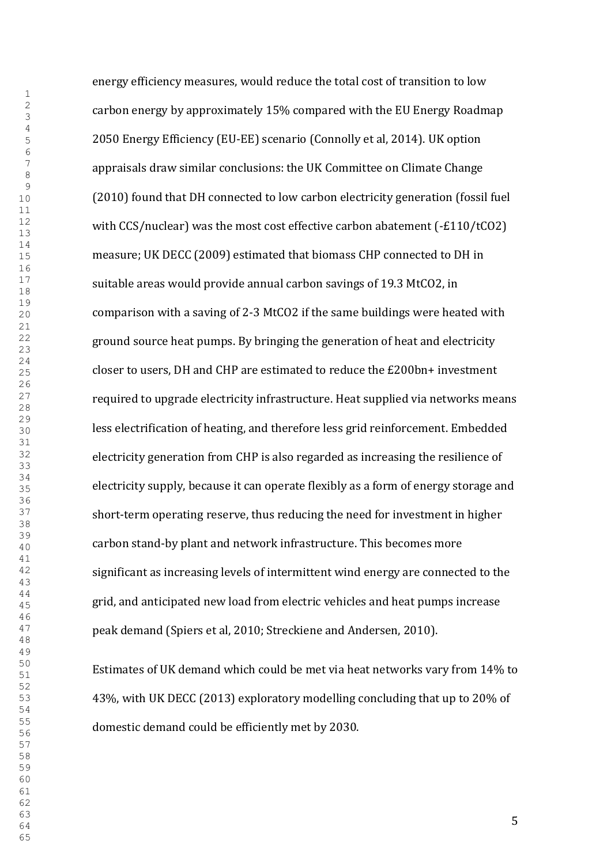energy efficiency measures, would reduce the total cost of transition to low carbon energy by approximately 15% compared with the EU Energy Roadmap 2050 Energy Efficiency (EU-EE) scenario (Connolly et al, 2014). UK option appraisals draw similar conclusions: the UK Committee on Climate Change (2010) found that DH connected to low carbon electricity generation (fossil fuel with CCS/nuclear) was the most cost effective carbon abatement (-£110/tCO2) measure; UK DECC (2009) estimated that biomass CHP connected to DH in suitable areas would provide annual carbon savings of 19.3 MtCO2, in comparison with a saving of 2-3 MtCO2 if the same buildings were heated with ground source heat pumps. By bringing the generation of heat and electricity closer to users, DH and CHP are estimated to reduce the £200bn+ investment required to upgrade electricity infrastructure. Heat supplied via networks means less electrification of heating, and therefore less grid reinforcement. Embedded electricity generation from CHP is also regarded as increasing the resilience of electricity supply, because it can operate flexibly as a form of energy storage and short-term operating reserve, thus reducing the need for investment in higher carbon stand-by plant and network infrastructure. This becomes more significant as increasing levels of intermittent wind energy are connected to the grid, and anticipated new load from electric vehicles and heat pumps increase peak demand (Spiers et al, 2010; Streckiene and Andersen, 2010).

Estimates of UK demand which could be met via heat networks vary from 14% to 43%, with UK DECC (2013) exploratory modelling concluding that up to 20% of domestic demand could be efficiently met by 2030.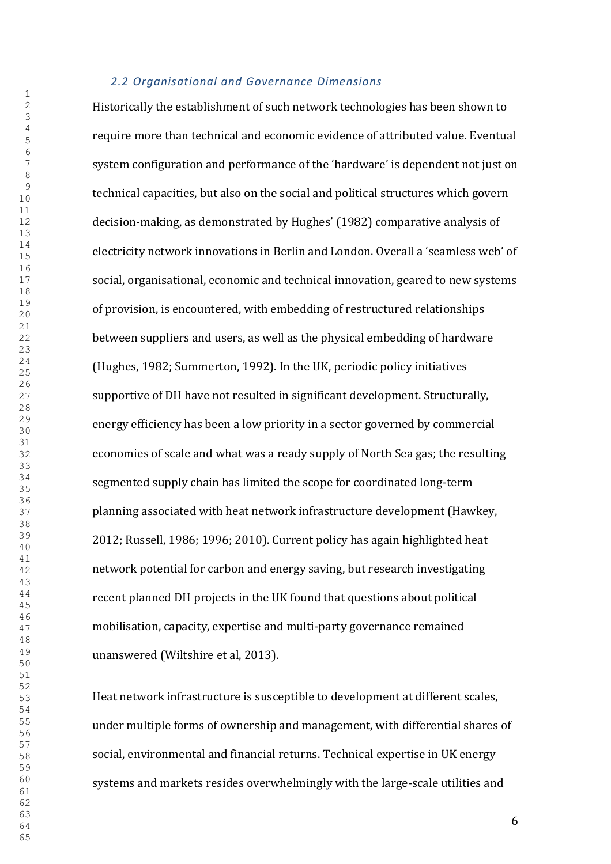### *2.2 Organisational and Governance Dimensions*

Historically the establishment of such network technologies has been shown to require more than technical and economic evidence of attributed value. Eventual system configuration and performance of the 'hardware' is dependent not just on technical capacities, but also on the social and political structures which govern decision-making, as demonstrated by Hughes' (1982) comparative analysis of electricity network innovations in Berlin and London. Overall a 'seamless web' of social, organisational, economic and technical innovation, geared to new systems of provision, is encountered, with embedding of restructured relationships between suppliers and users, as well as the physical embedding of hardware (Hughes, 1982; Summerton, 1992). In the UK, periodic policy initiatives supportive of DH have not resulted in significant development. Structurally, energy efficiency has been a low priority in a sector governed by commercial economies of scale and what was a ready supply of North Sea gas; the resulting segmented supply chain has limited the scope for coordinated long-term planning associated with heat network infrastructure development (Hawkey, 2012; Russell, 1986; 1996; 2010). Current policy has again highlighted heat network potential for carbon and energy saving, but research investigating recent planned DH projects in the UK found that questions about political mobilisation, capacity, expertise and multi-party governance remained unanswered (Wiltshire et al, 2013).

Heat network infrastructure is susceptible to development at different scales, under multiple forms of ownership and management, with differential shares of social, environmental and financial returns. Technical expertise in UK energy systems and markets resides overwhelmingly with the large-scale utilities and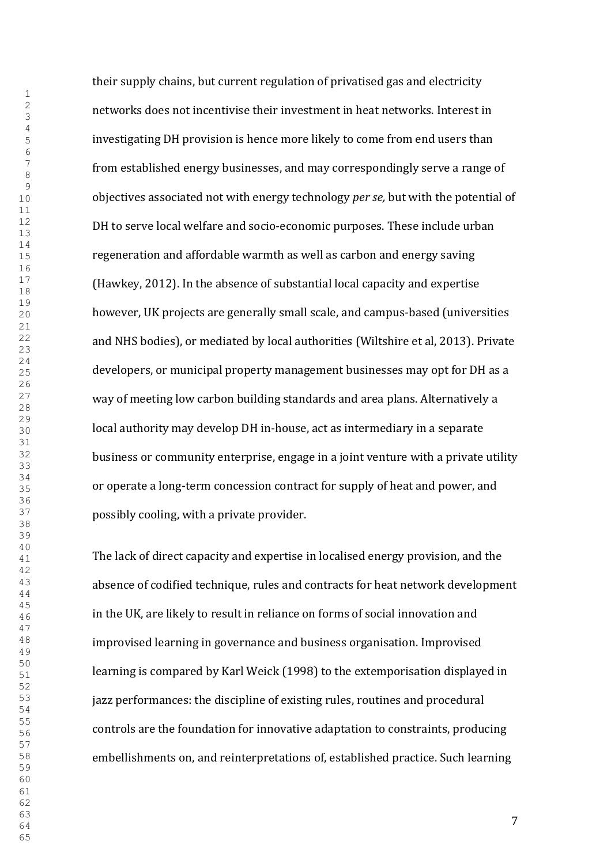their supply chains, but current regulation of privatised gas and electricity networks does not incentivise their investment in heat networks. Interest in investigating DH provision is hence more likely to come from end users than from established energy businesses, and may correspondingly serve a range of objectives associated not with energy technology *per se,* but with the potential of DH to serve local welfare and socio-economic purposes. These include urban regeneration and affordable warmth as well as carbon and energy saving (Hawkey, 2012). In the absence of substantial local capacity and expertise however, UK projects are generally small scale, and campus-based (universities and NHS bodies), or mediated by local authorities (Wiltshire et al, 2013). Private developers, or municipal property management businesses may opt for DH as a way of meeting low carbon building standards and area plans. Alternatively a local authority may develop DH in-house, act as intermediary in a separate business or community enterprise, engage in a joint venture with a private utility or operate a long-term concession contract for supply of heat and power, and possibly cooling, with a private provider.

The lack of direct capacity and expertise in localised energy provision, and the absence of codified technique, rules and contracts for heat network development in the UK, are likely to result in reliance on forms of social innovation and improvised learning in governance and business organisation. Improvised learning is compared by Karl Weick (1998) to the extemporisation displayed in jazz performances: the discipline of existing rules, routines and procedural controls are the foundation for innovative adaptation to constraints, producing embellishments on, and reinterpretations of, established practice. Such learning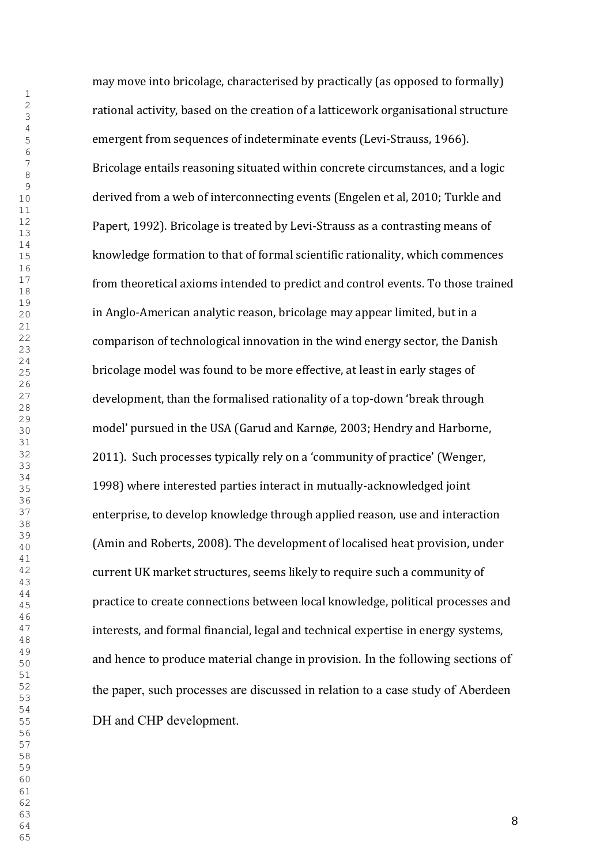may move into bricolage, characterised by practically (as opposed to formally) rational activity, based on the creation of a latticework organisational structure emergent from sequences of indeterminate events (Levi-Strauss, 1966). Bricolage entails reasoning situated within concrete circumstances, and a logic derived from a web of interconnecting events (Engelen et al, 2010; Turkle and Papert, 1992). Bricolage is treated by Levi-Strauss as a contrasting means of knowledge formation to that of formal scientific rationality, which commences from theoretical axioms intended to predict and control events. To those trained in Anglo-American analytic reason, bricolage may appear limited, but in a comparison of technological innovation in the wind energy sector, the Danish bricolage model was found to be more effective, at least in early stages of development, than the formalised rationality of a top-down 'break through model' pursued in the USA (Garud and Karnøe, 2003; Hendry and Harborne, 2011). Such processes typically rely on a 'community of practice' (Wenger, 1998) where interested parties interact in mutually-acknowledged joint enterprise, to develop knowledge through applied reason, use and interaction (Amin and Roberts, 2008). The development of localised heat provision, under current UK market structures, seems likely to require such a community of practice to create connections between local knowledge, political processes and interests, and formal financial, legal and technical expertise in energy systems, and hence to produce material change in provision. In the following sections of the paper, such processes are discussed in relation to a case study of Aberdeen DH and CHP development.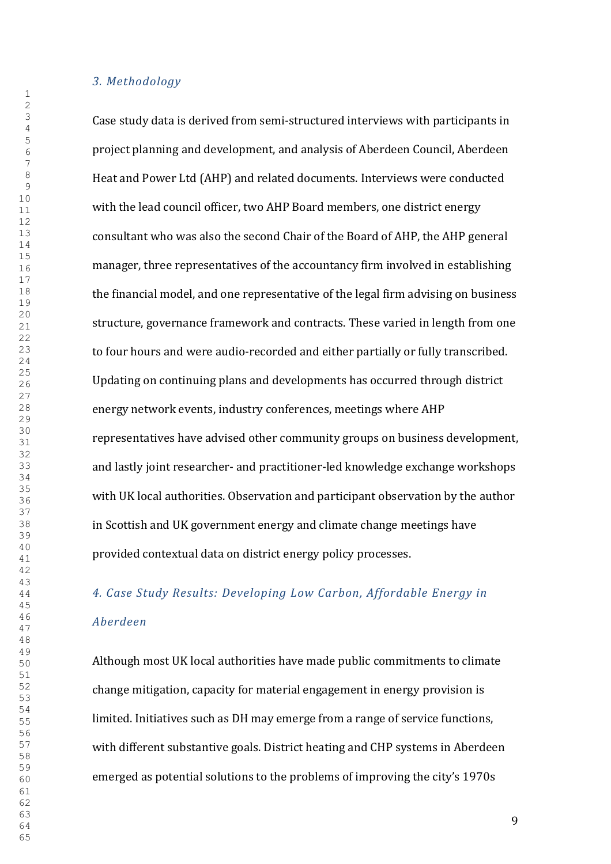*3. Methodology*

Case study data is derived from semi-structured interviews with participants in project planning and development, and analysis of Aberdeen Council, Aberdeen Heat and Power Ltd (AHP) and related documents. Interviews were conducted with the lead council officer, two AHP Board members, one district energy consultant who was also the second Chair of the Board of AHP, the AHP general manager, three representatives of the accountancy firm involved in establishing the financial model, and one representative of the legal firm advising on business structure, governance framework and contracts. These varied in length from one to four hours and were audio-recorded and either partially or fully transcribed. Updating on continuing plans and developments has occurred through district energy network events, industry conferences, meetings where AHP representatives have advised other community groups on business development, and lastly joint researcher- and practitioner-led knowledge exchange workshops with UK local authorities. Observation and participant observation by the author in Scottish and UK government energy and climate change meetings have provided contextual data on district energy policy processes.

# *4. Case Study Results: Developing Low Carbon, Affordable Energy in Aberdeen*

Although most UK local authorities have made public commitments to climate change mitigation, capacity for material engagement in energy provision is limited. Initiatives such as DH may emerge from a range of service functions, with different substantive goals. District heating and CHP systems in Aberdeen emerged as potential solutions to the problems of improving the city's 1970s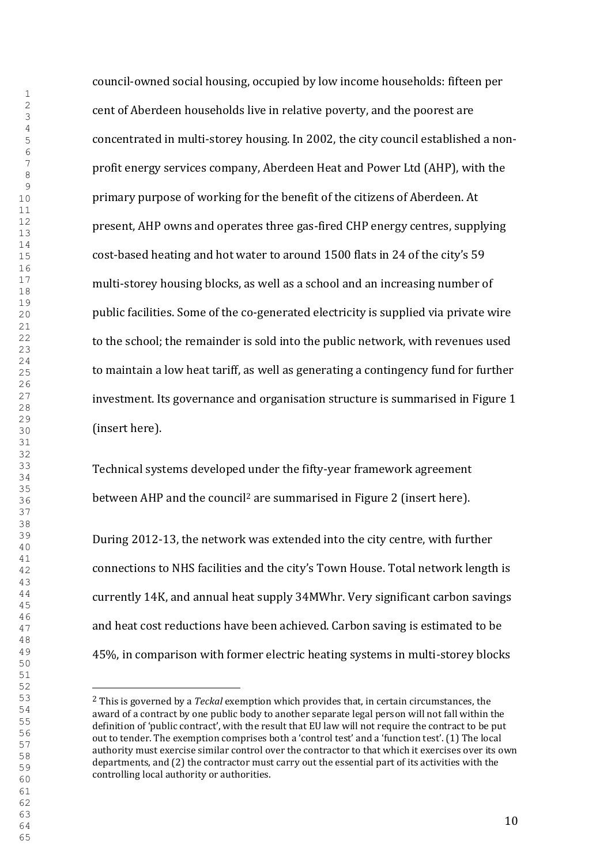council-owned social housing, occupied by low income households: fifteen per cent of Aberdeen households live in relative poverty, and the poorest are concentrated in multi-storey housing. In 2002, the city council established a nonprofit energy services company, Aberdeen Heat and Power Ltd (AHP), with the primary purpose of working for the benefit of the citizens of Aberdeen. At present, AHP owns and operates three gas-fired CHP energy centres, supplying cost-based heating and hot water to around 1500 flats in 24 of the city's 59 multi-storey housing blocks, as well as a school and an increasing number of public facilities. Some of the co-generated electricity is supplied via private wire to the school; the remainder is sold into the public network, with revenues used to maintain a low heat tariff, as well as generating a contingency fund for further investment. Its governance and organisation structure is summarised in Figure 1 (insert here).

Technical systems developed under the fifty-year framework agreement between AHP and the council<sup>2</sup> are summarised in Figure 2 (insert here).

During 2012-13, the network was extended into the city centre, with further connections to NHS facilities and the city's Town House. Total network length is currently 14K, and annual heat supply 34MWhr. Very significant carbon savings and heat cost reductions have been achieved. Carbon saving is estimated to be 45%, in comparison with former electric heating systems in multi-storey blocks

 This is governed by a *Teckal* exemption which provides that, in certain circumstances, the award of a contract by one public body to another separate legal person will not fall within the definition of 'public contract', with the result that EU law will not require the contract to be put out to tender. The exemption comprises both a 'control test' and a 'function test'. (1) The local authority must exercise similar control over the contractor to that which it exercises over its own departments, and (2) the contractor must carry out the essential part of its activities with the controlling local authority or authorities.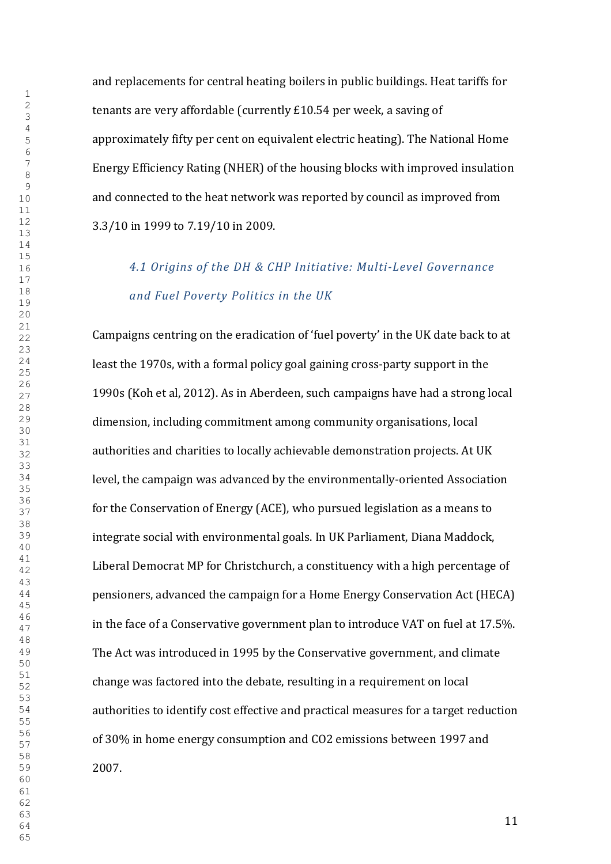and replacements for central heating boilers in public buildings. Heat tariffs for tenants are very affordable (currently £10.54 per week, a saving of approximately fifty per cent on equivalent electric heating). The National Home Energy Efficiency Rating (NHER) of the housing blocks with improved insulation and connected to the heat network was reported by council as improved from 3.3/10 in 1999 to 7.19/10 in 2009.

# *4.1 Origins of the DH & CHP Initiative: Multi-Level Governance and Fuel Poverty Politics in the UK*

Campaigns centring on the eradication of 'fuel poverty' in the UK date back to at least the 1970s, with a formal policy goal gaining cross-party support in the 1990s (Koh et al, 2012). As in Aberdeen, such campaigns have had a strong local dimension, including commitment among community organisations, local authorities and charities to locally achievable demonstration projects. At UK level, the campaign was advanced by the environmentally-oriented Association for the Conservation of Energy (ACE), who pursued legislation as a means to integrate social with environmental goals. In UK Parliament, Diana Maddock, Liberal Democrat MP for Christchurch, a constituency with a high percentage of pensioners, advanced the campaign for a Home Energy Conservation Act (HECA) in the face of a Conservative government plan to introduce VAT on fuel at 17.5%. The Act was introduced in 1995 by the Conservative government, and climate change was factored into the debate, resulting in a requirement on local authorities to identify cost effective and practical measures for a target reduction of 30% in home energy consumption and CO2 emissions between 1997 and 2007.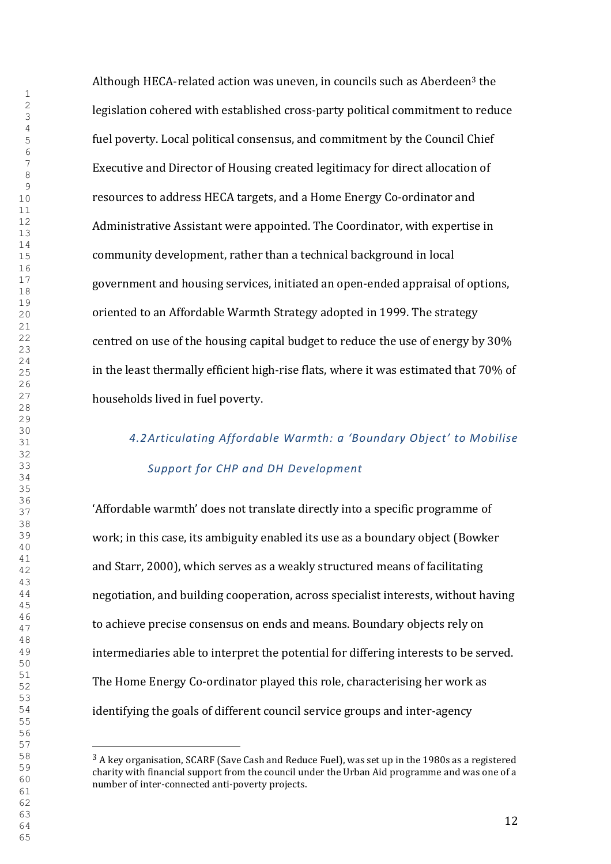Although HECA-related action was uneven, in councils such as Aberdeen<sup>3</sup> the legislation cohered with established cross-party political commitment to reduce fuel poverty. Local political consensus, and commitment by the Council Chief Executive and Director of Housing created legitimacy for direct allocation of resources to address HECA targets, and a Home Energy Co-ordinator and Administrative Assistant were appointed. The Coordinator, with expertise in community development, rather than a technical background in local government and housing services, initiated an open-ended appraisal of options, oriented to an Affordable Warmth Strategy adopted in 1999. The strategy centred on use of the housing capital budget to reduce the use of energy by 30% in the least thermally efficient high-rise flats, where it was estimated that 70% of households lived in fuel poverty.

# *4.2Articulating Affordable Warmth: a 'Boundary Object' to Mobilise Support for CHP and DH Development*

'Affordable warmth' does not translate directly into a specific programme of work; in this case, its ambiguity enabled its use as a boundary object (Bowker and Starr, 2000), which serves as a weakly structured means of facilitating negotiation, and building cooperation, across specialist interests, without having to achieve precise consensus on ends and means. Boundary objects rely on intermediaries able to interpret the potential for differing interests to be served. The Home Energy Co-ordinator played this role, characterising her work as identifying the goals of different council service groups and inter-agency

 A key organisation, SCARF (Save Cash and Reduce Fuel), was set up in the 1980s as a registered charity with financial support from the council under the Urban Aid programme and was one of a number of inter-connected anti-poverty projects.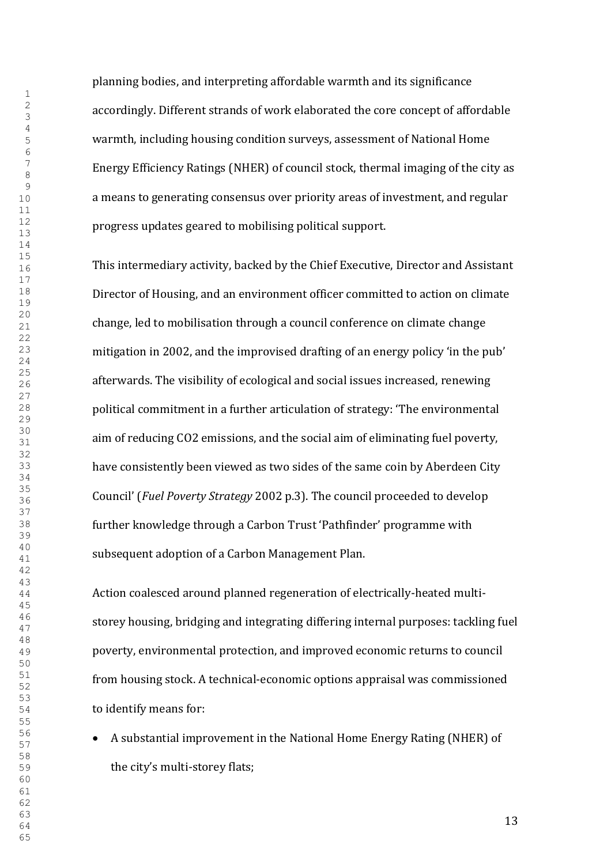planning bodies, and interpreting affordable warmth and its significance accordingly. Different strands of work elaborated the core concept of affordable warmth, including housing condition surveys, assessment of National Home Energy Efficiency Ratings (NHER) of council stock, thermal imaging of the city as a means to generating consensus over priority areas of investment, and regular progress updates geared to mobilising political support.

This intermediary activity, backed by the Chief Executive, Director and Assistant Director of Housing, and an environment officer committed to action on climate change, led to mobilisation through a council conference on climate change mitigation in 2002, and the improvised drafting of an energy policy 'in the pub' afterwards. The visibility of ecological and social issues increased, renewing political commitment in a further articulation of strategy: 'The environmental aim of reducing CO2 emissions, and the social aim of eliminating fuel poverty, have consistently been viewed as two sides of the same coin by Aberdeen City Council' (*Fuel Poverty Strategy* 2002 p.3). The council proceeded to develop further knowledge through a Carbon Trust 'Pathfinder' programme with subsequent adoption of a Carbon Management Plan.

Action coalesced around planned regeneration of electrically-heated multistorey housing, bridging and integrating differing internal purposes: tackling fuel poverty, environmental protection, and improved economic returns to council from housing stock. A technical-economic options appraisal was commissioned to identify means for:

x A substantial improvement in the National Home Energy Rating (NHER) of the city's multi-storey flats;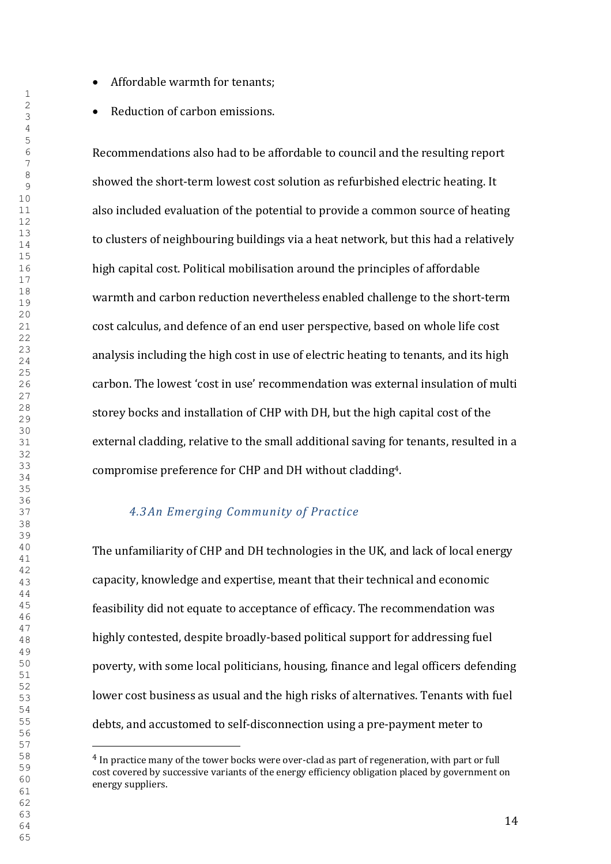- Affordable warmth for tenants;
- Reduction of carbon emissions.

Recommendations also had to be affordable to council and the resulting report showed the short-term lowest cost solution as refurbished electric heating. It also included evaluation of the potential to provide a common source of heating to clusters of neighbouring buildings via a heat network, but this had a relatively high capital cost. Political mobilisation around the principles of affordable warmth and carbon reduction nevertheless enabled challenge to the short-term cost calculus, and defence of an end user perspective, based on whole life cost analysis including the high cost in use of electric heating to tenants, and its high carbon. The lowest 'cost in use' recommendation was external insulation of multi storey bocks and installation of CHP with DH, but the high capital cost of the external cladding, relative to the small additional saving for tenants, resulted in a compromise preference for CHP and DH without cladding4.

## *4.3An Emerging Community of Practice*

The unfamiliarity of CHP and DH technologies in the UK, and lack of local energy capacity, knowledge and expertise, meant that their technical and economic feasibility did not equate to acceptance of efficacy. The recommendation was highly contested, despite broadly-based political support for addressing fuel poverty, with some local politicians, housing, finance and legal officers defending lower cost business as usual and the high risks of alternatives. Tenants with fuel debts, and accustomed to self-disconnection using a pre-payment meter to

 In practice many of the tower bocks were over-clad as part of regeneration, with part or full cost covered by successive variants of the energy efficiency obligation placed by government on energy suppliers.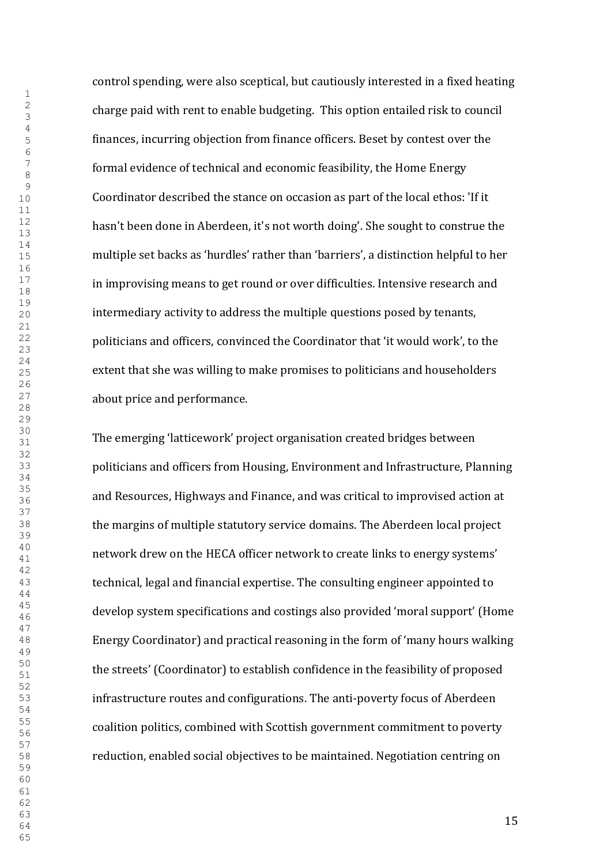control spending, were also sceptical, but cautiously interested in a fixed heating charge paid with rent to enable budgeting. This option entailed risk to council finances, incurring objection from finance officers. Beset by contest over the formal evidence of technical and economic feasibility, the Home Energy Coordinator described the stance on occasion as part of the local ethos: 'If it hasn't been done in Aberdeen, it's not worth doing'. She sought to construe the multiple set backs as 'hurdles' rather than 'barriers', a distinction helpful to her in improvising means to get round or over difficulties. Intensive research and intermediary activity to address the multiple questions posed by tenants, politicians and officers, convinced the Coordinator that 'it would work', to the extent that she was willing to make promises to politicians and householders about price and performance.

The emerging 'latticework' project organisation created bridges between politicians and officers from Housing, Environment and Infrastructure, Planning and Resources, Highways and Finance, and was critical to improvised action at the margins of multiple statutory service domains. The Aberdeen local project network drew on the HECA officer network to create links to energy systems' technical, legal and financial expertise. The consulting engineer appointed to develop system specifications and costings also provided 'moral support' (Home Energy Coordinator) and practical reasoning in the form of 'many hours walking the streets' (Coordinator) to establish confidence in the feasibility of proposed infrastructure routes and configurations. The anti-poverty focus of Aberdeen coalition politics, combined with Scottish government commitment to poverty reduction, enabled social objectives to be maintained. Negotiation centring on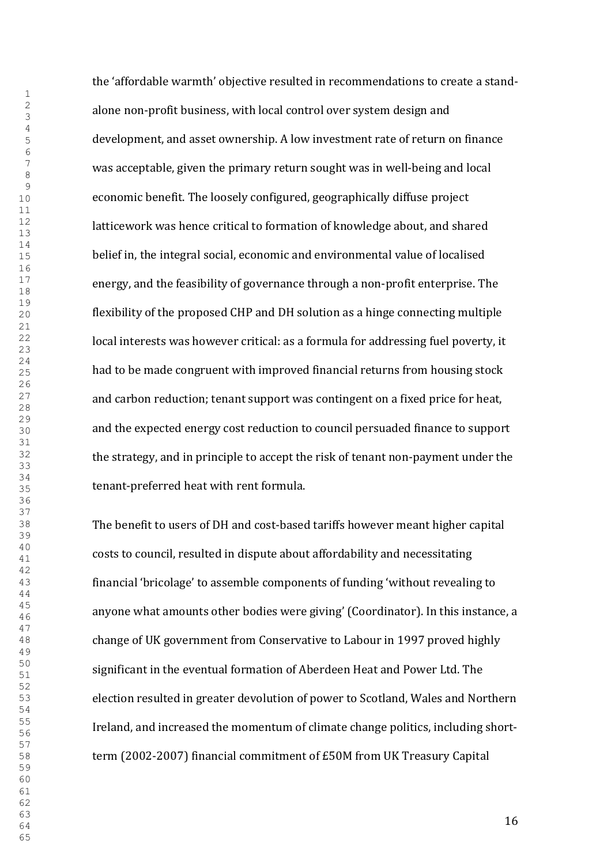the 'affordable warmth' objective resulted in recommendations to create a standalone non-profit business, with local control over system design and development, and asset ownership. A low investment rate of return on finance was acceptable, given the primary return sought was in well-being and local economic benefit. The loosely configured, geographically diffuse project latticework was hence critical to formation of knowledge about, and shared belief in, the integral social, economic and environmental value of localised energy, and the feasibility of governance through a non-profit enterprise. The flexibility of the proposed CHP and DH solution as a hinge connecting multiple local interests was however critical: as a formula for addressing fuel poverty, it had to be made congruent with improved financial returns from housing stock and carbon reduction; tenant support was contingent on a fixed price for heat, and the expected energy cost reduction to council persuaded finance to support the strategy, and in principle to accept the risk of tenant non-payment under the tenant-preferred heat with rent formula.

The benefit to users of DH and cost-based tariffs however meant higher capital costs to council, resulted in dispute about affordability and necessitating financial 'bricolage' to assemble components of funding 'without revealing to anyone what amounts other bodies were giving' (Coordinator). In this instance, a change of UK government from Conservative to Labour in 1997 proved highly significant in the eventual formation of Aberdeen Heat and Power Ltd. The election resulted in greater devolution of power to Scotland, Wales and Northern Ireland, and increased the momentum of climate change politics, including shortterm (2002-2007) financial commitment of £50M from UK Treasury Capital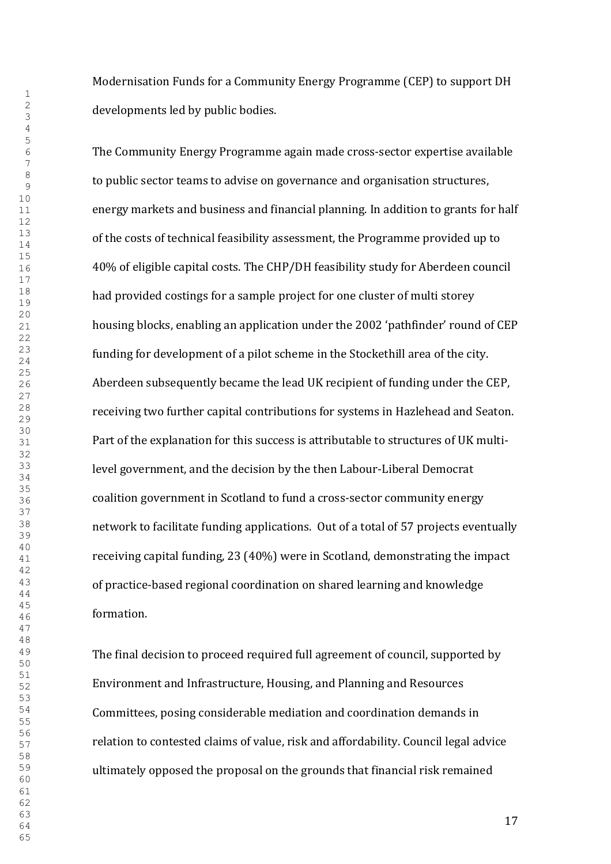Modernisation Funds for a Community Energy Programme (CEP) to support DH developments led by public bodies.

The Community Energy Programme again made cross-sector expertise available to public sector teams to advise on governance and organisation structures, energy markets and business and financial planning. In addition to grants for half of the costs of technical feasibility assessment, the Programme provided up to 40% of eligible capital costs. The CHP/DH feasibility study for Aberdeen council had provided costings for a sample project for one cluster of multi storey housing blocks, enabling an application under the 2002 'pathfinder' round of CEP funding for development of a pilot scheme in the Stockethill area of the city. Aberdeen subsequently became the lead UK recipient of funding under the CEP, receiving two further capital contributions for systems in Hazlehead and Seaton. Part of the explanation for this success is attributable to structures of UK multilevel government, and the decision by the then Labour-Liberal Democrat coalition government in Scotland to fund a cross-sector community energy network to facilitate funding applications. Out of a total of 57 projects eventually receiving capital funding, 23 (40%) were in Scotland, demonstrating the impact of practice-based regional coordination on shared learning and knowledge formation.

The final decision to proceed required full agreement of council, supported by Environment and Infrastructure, Housing, and Planning and Resources Committees, posing considerable mediation and coordination demands in relation to contested claims of value, risk and affordability. Council legal advice ultimately opposed the proposal on the grounds that financial risk remained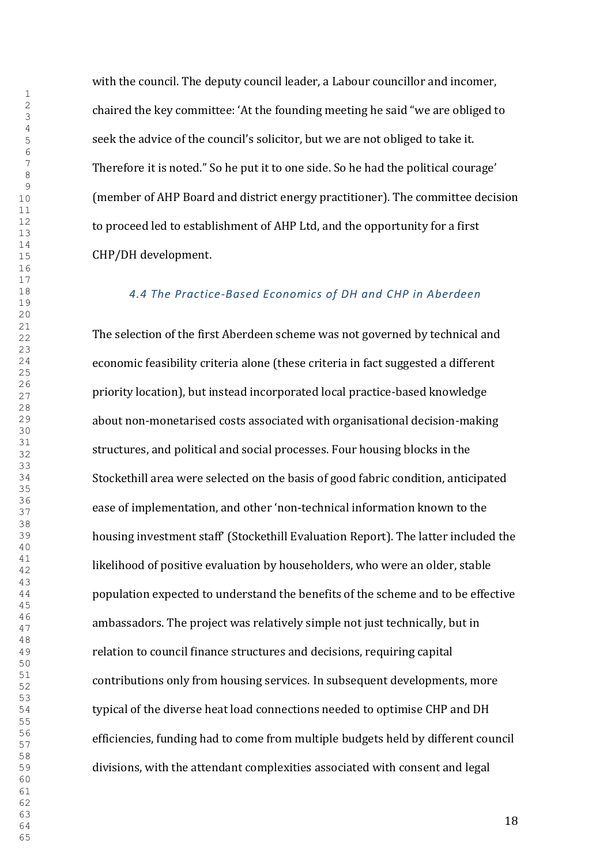with the council. The deputy council leader, a Labour councillor and incomer, chaired the key committee: 'At the founding meeting he said "we are obliged to seek the advice of the council's solicitor, but we are not obliged to take it. Therefore it is noted." So he put it to one side. So he had the political courage' (member of AHP Board and district energy practitioner). The committee decision to proceed led to establishment of AHP Ltd, and the opportunity for a first CHP/DH development.

#### *4.4 The Practice-Based Economics of DH and CHP in Aberdeen*

The selection of the first Aberdeen scheme was not governed by technical and economic feasibility criteria alone (these criteria in fact suggested a different priority location), but instead incorporated local practice-based knowledge about non-monetarised costs associated with organisational decision-making structures, and political and social processes. Four housing blocks in the Stockethill area were selected on the basis of good fabric condition, anticipated ease of implementation, and other 'non-technical information known to the housing investment staff' (Stockethill Evaluation Report). The latter included the likelihood of positive evaluation by householders, who were an older, stable population expected to understand the benefits of the scheme and to be effective ambassadors. The project was relatively simple not just technically, but in relation to council finance structures and decisions, requiring capital contributions only from housing services. In subsequent developments, more typical of the diverse heat load connections needed to optimise CHP and DH efficiencies, funding had to come from multiple budgets held by different council divisions, with the attendant complexities associated with consent and legal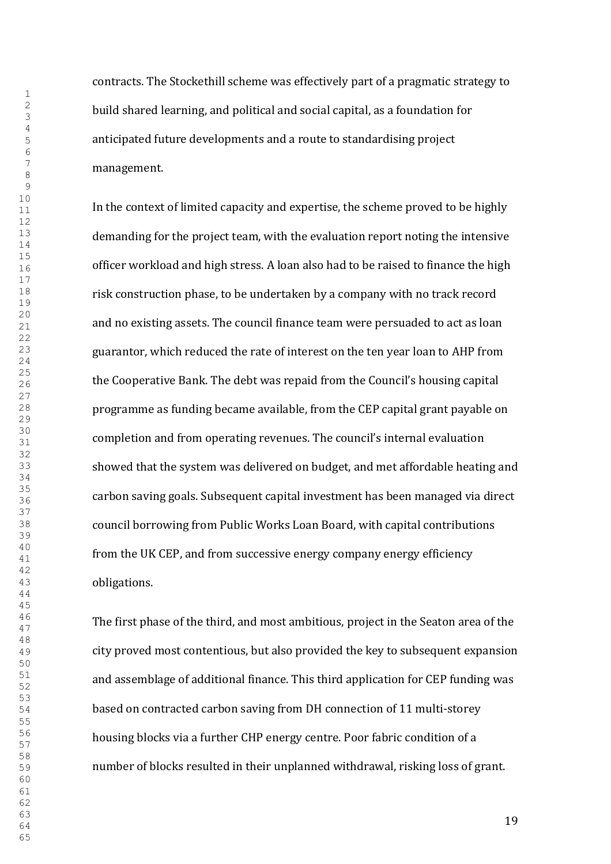contracts. The Stockethill scheme was effectively part of a pragmatic strategy to build shared learning, and political and social capital, as a foundation for anticipated future developments and a route to standardising project management.

In the context of limited capacity and expertise, the scheme proved to be highly demanding for the project team, with the evaluation report noting the intensive officer workload and high stress. A loan also had to be raised to finance the high risk construction phase, to be undertaken by a company with no track record and no existing assets. The council finance team were persuaded to act as loan guarantor, which reduced the rate of interest on the ten year loan to AHP from the Cooperative Bank. The debt was repaid from the Council's housing capital programme as funding became available, from the CEP capital grant payable on completion and from operating revenues. The council's internal evaluation showed that the system was delivered on budget, and met affordable heating and carbon saving goals. Subsequent capital investment has been managed via direct council borrowing from Public Works Loan Board, with capital contributions from the UK CEP, and from successive energy company energy efficiency obligations.

The first phase of the third, and most ambitious, project in the Seaton area of the city proved most contentious, but also provided the key to subsequent expansion and assemblage of additional finance. This third application for CEP funding was based on contracted carbon saving from DH connection of 11 multi-storey housing blocks via a further CHP energy centre. Poor fabric condition of a number of blocks resulted in their unplanned withdrawal, risking loss of grant.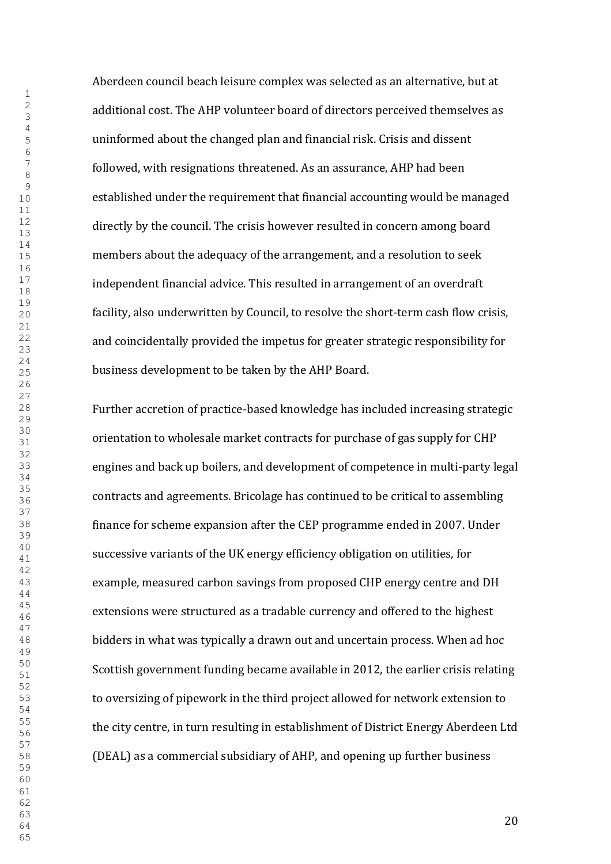Aberdeen council beach leisure complex was selected as an alternative, but at additional cost. The AHP volunteer board of directors perceived themselves as uninformed about the changed plan and financial risk. Crisis and dissent followed, with resignations threatened. As an assurance, AHP had been established under the requirement that financial accounting would be managed directly by the council. The crisis however resulted in concern among board members about the adequacy of the arrangement, and a resolution to seek independent financial advice. This resulted in arrangement of an overdraft facility, also underwritten by Council, to resolve the short-term cash flow crisis, and coincidentally provided the impetus for greater strategic responsibility for business development to be taken by the AHP Board.

Further accretion of practice-based knowledge has included increasing strategic orientation to wholesale market contracts for purchase of gas supply for CHP engines and back up boilers, and development of competence in multi-party legal contracts and agreements. Bricolage has continued to be critical to assembling finance for scheme expansion after the CEP programme ended in 2007. Under successive variants of the UK energy efficiency obligation on utilities, for example, measured carbon savings from proposed CHP energy centre and DH extensions were structured as a tradable currency and offered to the highest bidders in what was typically a drawn out and uncertain process. When ad hoc Scottish government funding became available in 2012, the earlier crisis relating to oversizing of pipework in the third project allowed for network extension to the city centre, in turn resulting in establishment of District Energy Aberdeen Ltd (DEAL) as a commercial subsidiary of AHP, and opening up further business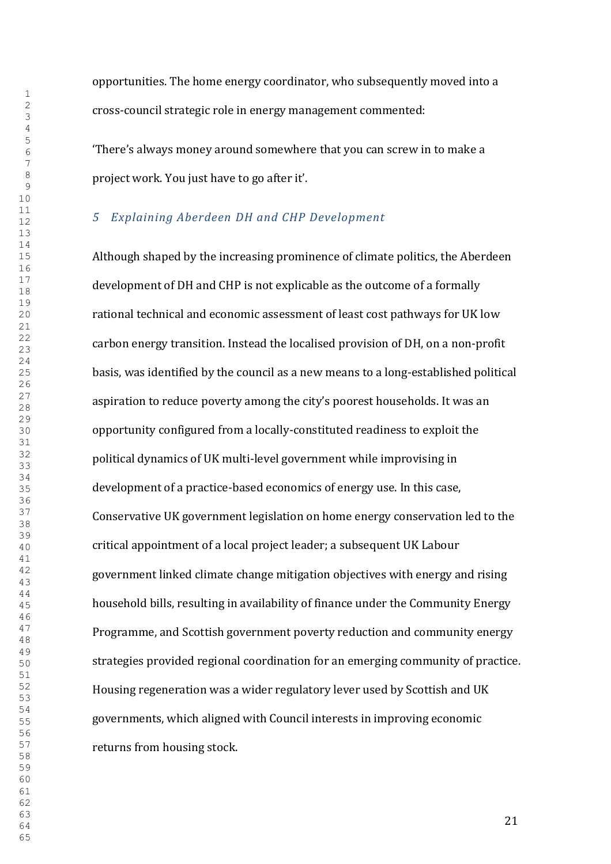opportunities. The home energy coordinator, who subsequently moved into a cross-council strategic role in energy management commented:

'There's always money around somewhere that you can screw in to make a project work. You just have to go after it'.

## *Explaining Aberdeen DH and CHP Development*

Although shaped by the increasing prominence of climate politics, the Aberdeen development of DH and CHP is not explicable as the outcome of a formally rational technical and economic assessment of least cost pathways for UK low carbon energy transition. Instead the localised provision of DH, on a non-profit basis, was identified by the council as a new means to a long-established political aspiration to reduce poverty among the city's poorest households. It was an opportunity configured from a locally-constituted readiness to exploit the political dynamics of UK multi-level government while improvising in development of a practice-based economics of energy use. In this case, Conservative UK government legislation on home energy conservation led to the critical appointment of a local project leader; a subsequent UK Labour government linked climate change mitigation objectives with energy and rising household bills, resulting in availability of finance under the Community Energy Programme, and Scottish government poverty reduction and community energy strategies provided regional coordination for an emerging community of practice. Housing regeneration was a wider regulatory lever used by Scottish and UK governments, which aligned with Council interests in improving economic returns from housing stock.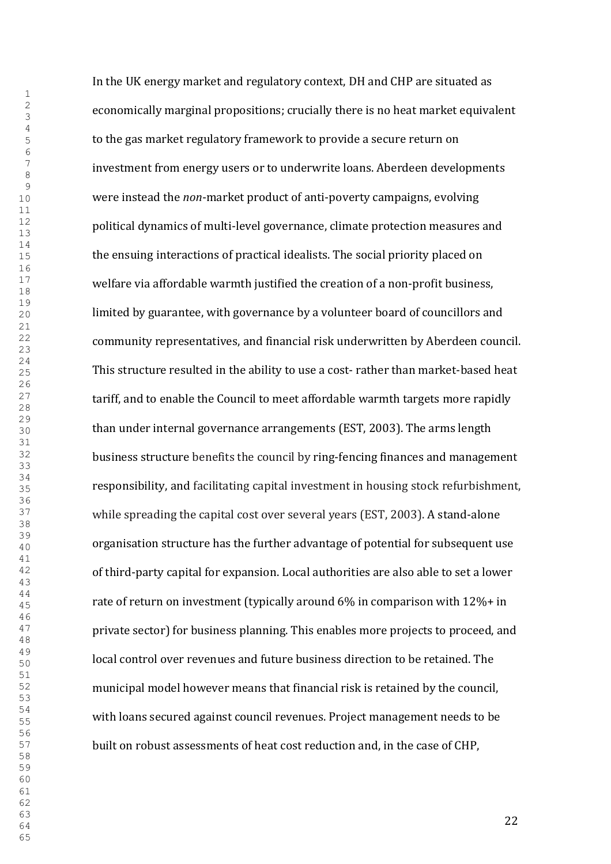In the UK energy market and regulatory context, DH and CHP are situated as economically marginal propositions; crucially there is no heat market equivalent to the gas market regulatory framework to provide a secure return on investment from energy users or to underwrite loans. Aberdeen developments were instead the *non*-market product of anti-poverty campaigns, evolving political dynamics of multi-level governance, climate protection measures and the ensuing interactions of practical idealists. The social priority placed on welfare via affordable warmth justified the creation of a non-profit business, limited by guarantee, with governance by a volunteer board of councillors and community representatives, and financial risk underwritten by Aberdeen council. This structure resulted in the ability to use a cost- rather than market-based heat tariff, and to enable the Council to meet affordable warmth targets more rapidly than under internal governance arrangements (EST, 2003). The arms length business structure benefits the council by ring-fencing finances and management responsibility, and facilitating capital investment in housing stock refurbishment, while spreading the capital cost over several years (EST, 2003). A stand-alone organisation structure has the further advantage of potential for subsequent use of third-party capital for expansion. Local authorities are also able to set a lower rate of return on investment (typically around 6% in comparison with 12%+ in private sector) for business planning. This enables more projects to proceed, and local control over revenues and future business direction to be retained. The municipal model however means that financial risk is retained by the council, with loans secured against council revenues. Project management needs to be built on robust assessments of heat cost reduction and, in the case of CHP,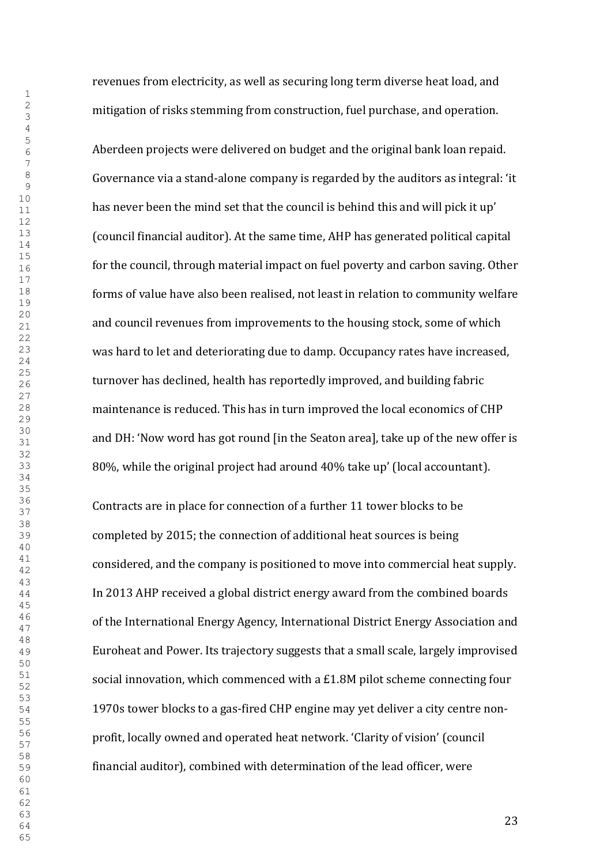revenues from electricity, as well as securing long term diverse heat load, and mitigation of risks stemming from construction, fuel purchase, and operation.

Aberdeen projects were delivered on budget and the original bank loan repaid. Governance via a stand-alone company is regarded by the auditors as integral: 'it has never been the mind set that the council is behind this and will pick it up' (council financial auditor). At the same time, AHP has generated political capital for the council, through material impact on fuel poverty and carbon saving. Other forms of value have also been realised, not least in relation to community welfare and council revenues from improvements to the housing stock, some of which was hard to let and deteriorating due to damp. Occupancy rates have increased, turnover has declined, health has reportedly improved, and building fabric maintenance is reduced. This has in turn improved the local economics of CHP and DH: 'Now word has got round [in the Seaton area], take up of the new offer is 80%, while the original project had around 40% take up' (local accountant).

Contracts are in place for connection of a further 11 tower blocks to be completed by 2015; the connection of additional heat sources is being considered, and the company is positioned to move into commercial heat supply. In 2013 AHP received a global district energy award from the combined boards of the International Energy Agency, International District Energy Association and Euroheat and Power. Its trajectory suggests that a small scale, largely improvised social innovation, which commenced with a £1.8M pilot scheme connecting four 1970s tower blocks to a gas-fired CHP engine may yet deliver a city centre nonprofit, locally owned and operated heat network. 'Clarity of vision' (council financial auditor), combined with determination of the lead officer, were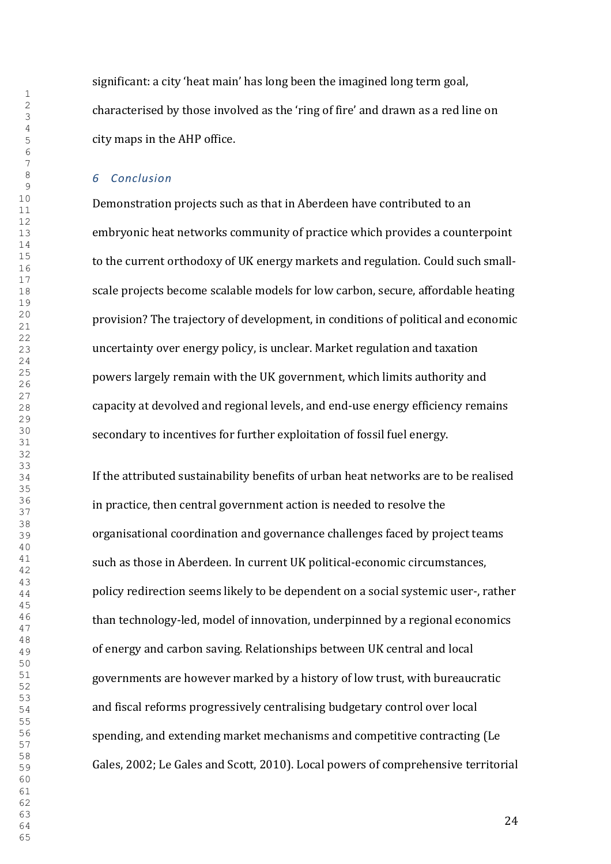significant: a city 'heat main' has long been the imagined long term goal, characterised by those involved as the 'ring of fire' and drawn as a red line on city maps in the AHP office.

### *Conclusion*

Demonstration projects such as that in Aberdeen have contributed to an embryonic heat networks community of practice which provides a counterpoint to the current orthodoxy of UK energy markets and regulation. Could such smallscale projects become scalable models for low carbon, secure, affordable heating provision? The trajectory of development, in conditions of political and economic uncertainty over energy policy, is unclear. Market regulation and taxation powers largely remain with the UK government, which limits authority and capacity at devolved and regional levels, and end-use energy efficiency remains secondary to incentives for further exploitation of fossil fuel energy.

If the attributed sustainability benefits of urban heat networks are to be realised in practice, then central government action is needed to resolve the organisational coordination and governance challenges faced by project teams such as those in Aberdeen. In current UK political-economic circumstances, policy redirection seems likely to be dependent on a social systemic user-, rather than technology-led, model of innovation, underpinned by a regional economics of energy and carbon saving. Relationships between UK central and local governments are however marked by a history of low trust, with bureaucratic and fiscal reforms progressively centralising budgetary control over local spending, and extending market mechanisms and competitive contracting (Le Gales, 2002; Le Gales and Scott, 2010). Local powers of comprehensive territorial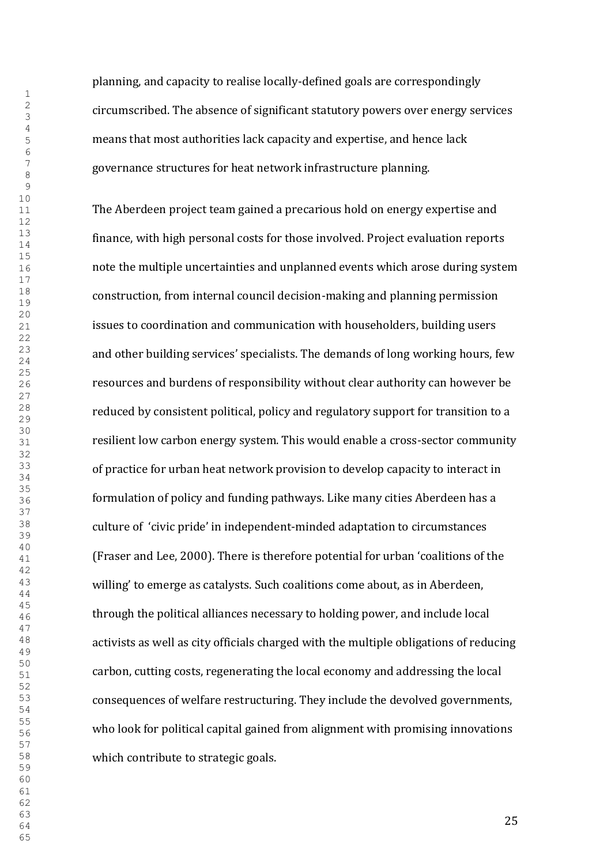planning, and capacity to realise locally-defined goals are correspondingly circumscribed. The absence of significant statutory powers over energy services means that most authorities lack capacity and expertise, and hence lack governance structures for heat network infrastructure planning.

The Aberdeen project team gained a precarious hold on energy expertise and finance, with high personal costs for those involved. Project evaluation reports note the multiple uncertainties and unplanned events which arose during system construction, from internal council decision-making and planning permission issues to coordination and communication with householders, building users and other building services' specialists. The demands of long working hours, few resources and burdens of responsibility without clear authority can however be reduced by consistent political, policy and regulatory support for transition to a resilient low carbon energy system. This would enable a cross-sector community of practice for urban heat network provision to develop capacity to interact in formulation of policy and funding pathways. Like many cities Aberdeen has a culture of 'civic pride' in independent-minded adaptation to circumstances (Fraser and Lee, 2000). There is therefore potential for urban 'coalitions of the willing' to emerge as catalysts. Such coalitions come about, as in Aberdeen, through the political alliances necessary to holding power, and include local activists as well as city officials charged with the multiple obligations of reducing carbon, cutting costs, regenerating the local economy and addressing the local consequences of welfare restructuring. They include the devolved governments, who look for political capital gained from alignment with promising innovations which contribute to strategic goals.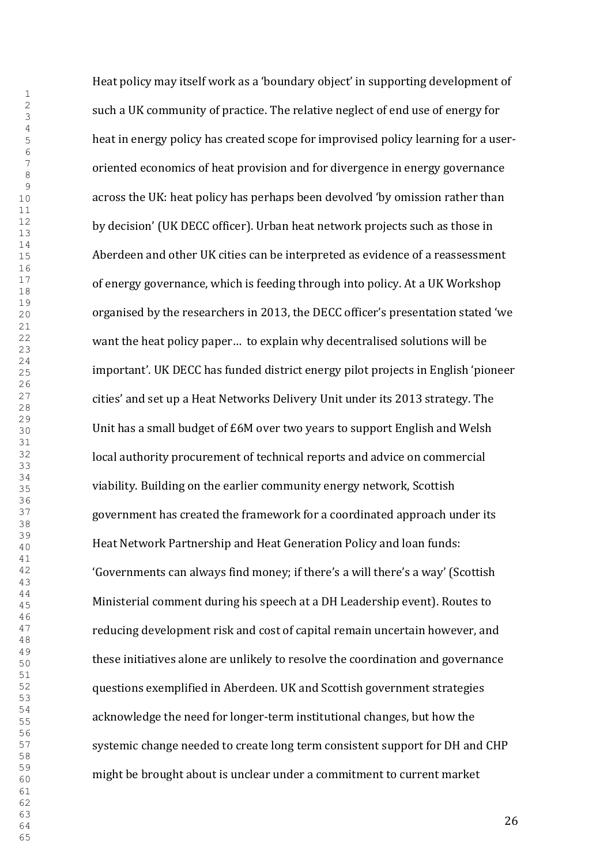Heat policy may itself work as a 'boundary object' in supporting development of such a UK community of practice. The relative neglect of end use of energy for heat in energy policy has created scope for improvised policy learning for a useroriented economics of heat provision and for divergence in energy governance across the UK: heat policy has perhaps been devolved 'by omission rather than by decision' (UK DECC officer). Urban heat network projects such as those in Aberdeen and other UK cities can be interpreted as evidence of a reassessment of energy governance, which is feeding through into policy. At a UK Workshop organised by the researchers in 2013, the DECC officer's presentation stated 'we want the heat policy paper… to explain why decentralised solutions will be important'. UK DECC has funded district energy pilot projects in English 'pioneer cities' and set up a Heat Networks Delivery Unit under its 2013 strategy. The Unit has a small budget of £6M over two years to support English and Welsh local authority procurement of technical reports and advice on commercial viability. Building on the earlier community energy network, Scottish government has created the framework for a coordinated approach under its Heat Network Partnership and Heat Generation Policy and loan funds: 'Governments can always find money; if there's a will there's a way' (Scottish Ministerial comment during his speech at a DH Leadership event). Routes to reducing development risk and cost of capital remain uncertain however, and these initiatives alone are unlikely to resolve the coordination and governance questions exemplified in Aberdeen. UK and Scottish government strategies acknowledge the need for longer-term institutional changes, but how the systemic change needed to create long term consistent support for DH and CHP might be brought about is unclear under a commitment to current market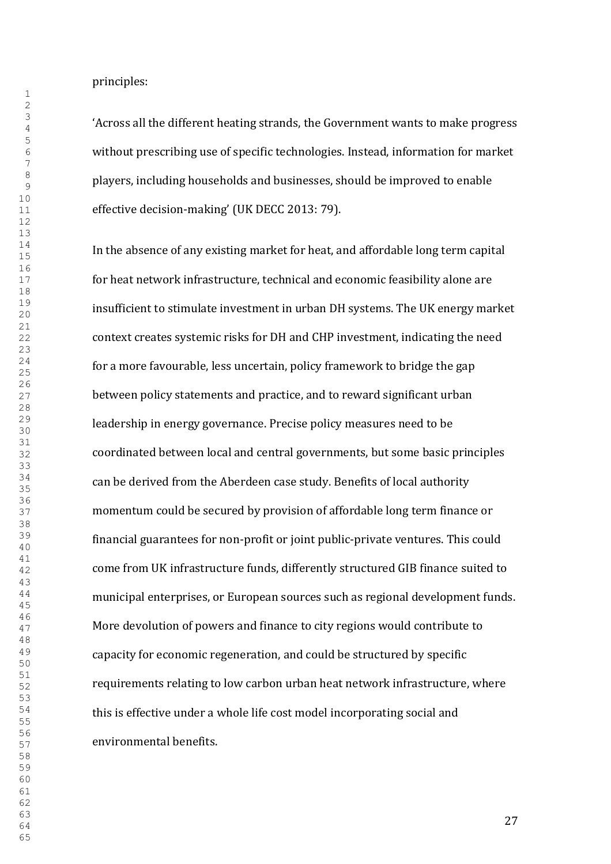principles:

'Across all the different heating strands, the Government wants to make progress without prescribing use of specific technologies. Instead, information for market players, including households and businesses, should be improved to enable effective decision-making' (UK DECC 2013: 79).

In the absence of any existing market for heat, and affordable long term capital for heat network infrastructure, technical and economic feasibility alone are insufficient to stimulate investment in urban DH systems. The UK energy market context creates systemic risks for DH and CHP investment, indicating the need for a more favourable, less uncertain, policy framework to bridge the gap between policy statements and practice, and to reward significant urban leadership in energy governance. Precise policy measures need to be coordinated between local and central governments, but some basic principles can be derived from the Aberdeen case study. Benefits of local authority momentum could be secured by provision of affordable long term finance or financial guarantees for non-profit or joint public-private ventures. This could come from UK infrastructure funds, differently structured GIB finance suited to municipal enterprises, or European sources such as regional development funds. More devolution of powers and finance to city regions would contribute to capacity for economic regeneration, and could be structured by specific requirements relating to low carbon urban heat network infrastructure, where this is effective under a whole life cost model incorporating social and environmental benefits.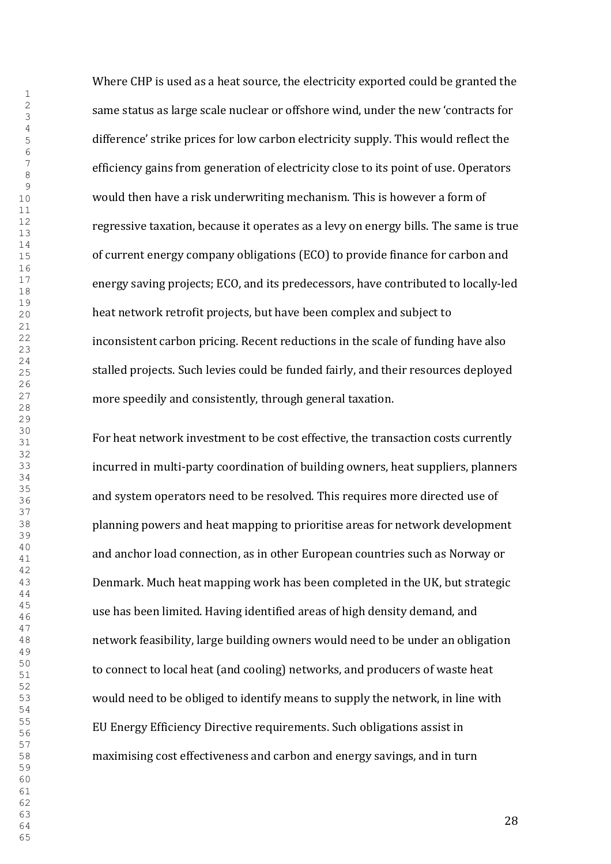Where CHP is used as a heat source, the electricity exported could be granted the same status as large scale nuclear or offshore wind, under the new 'contracts for difference' strike prices for low carbon electricity supply. This would reflect the efficiency gains from generation of electricity close to its point of use. Operators would then have a risk underwriting mechanism. This is however a form of regressive taxation, because it operates as a levy on energy bills. The same is true of current energy company obligations (ECO) to provide finance for carbon and energy saving projects; ECO, and its predecessors, have contributed to locally-led heat network retrofit projects, but have been complex and subject to inconsistent carbon pricing. Recent reductions in the scale of funding have also stalled projects. Such levies could be funded fairly, and their resources deployed more speedily and consistently, through general taxation.

For heat network investment to be cost effective, the transaction costs currently incurred in multi-party coordination of building owners, heat suppliers, planners and system operators need to be resolved. This requires more directed use of planning powers and heat mapping to prioritise areas for network development and anchor load connection, as in other European countries such as Norway or Denmark. Much heat mapping work has been completed in the UK, but strategic use has been limited. Having identified areas of high density demand, and network feasibility, large building owners would need to be under an obligation to connect to local heat (and cooling) networks, and producers of waste heat would need to be obliged to identify means to supply the network, in line with EU Energy Efficiency Directive requirements. Such obligations assist in maximising cost effectiveness and carbon and energy savings, and in turn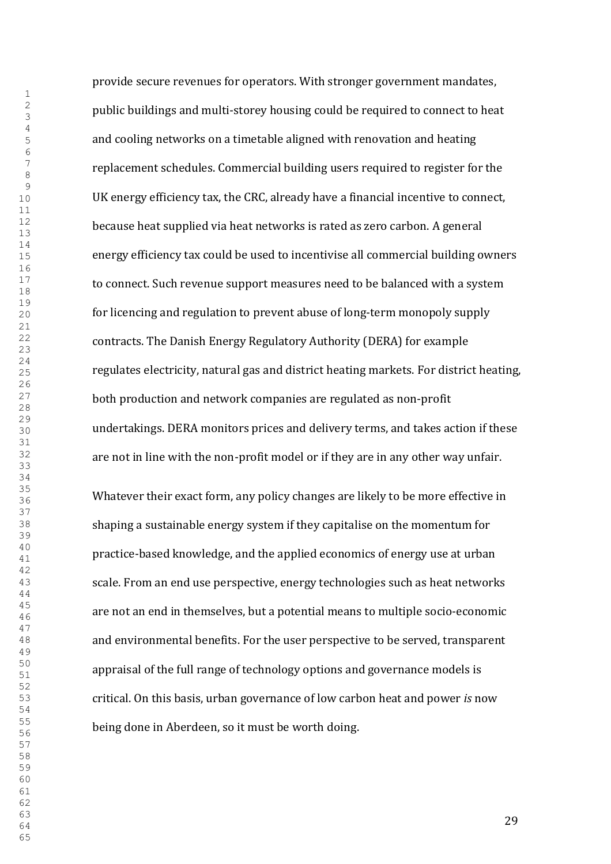provide secure revenues for operators. With stronger government mandates, public buildings and multi-storey housing could be required to connect to heat and cooling networks on a timetable aligned with renovation and heating replacement schedules. Commercial building users required to register for the UK energy efficiency tax, the CRC, already have a financial incentive to connect, because heat supplied via heat networks is rated as zero carbon. A general energy efficiency tax could be used to incentivise all commercial building owners to connect. Such revenue support measures need to be balanced with a system for licencing and regulation to prevent abuse of long-term monopoly supply contracts. The Danish Energy Regulatory Authority (DERA) for example regulates electricity, natural gas and district heating markets. For district heating, both production and network companies are regulated as non-profit undertakings. DERA monitors prices and delivery terms, and takes action if these are not in line with the non-profit model or if they are in any other way unfair.

Whatever their exact form, any policy changes are likely to be more effective in shaping a sustainable energy system if they capitalise on the momentum for practice-based knowledge, and the applied economics of energy use at urban scale. From an end use perspective, energy technologies such as heat networks are not an end in themselves, but a potential means to multiple socio-economic and environmental benefits. For the user perspective to be served, transparent appraisal of the full range of technology options and governance models is critical. On this basis, urban governance of low carbon heat and power *is* now being done in Aberdeen, so it must be worth doing.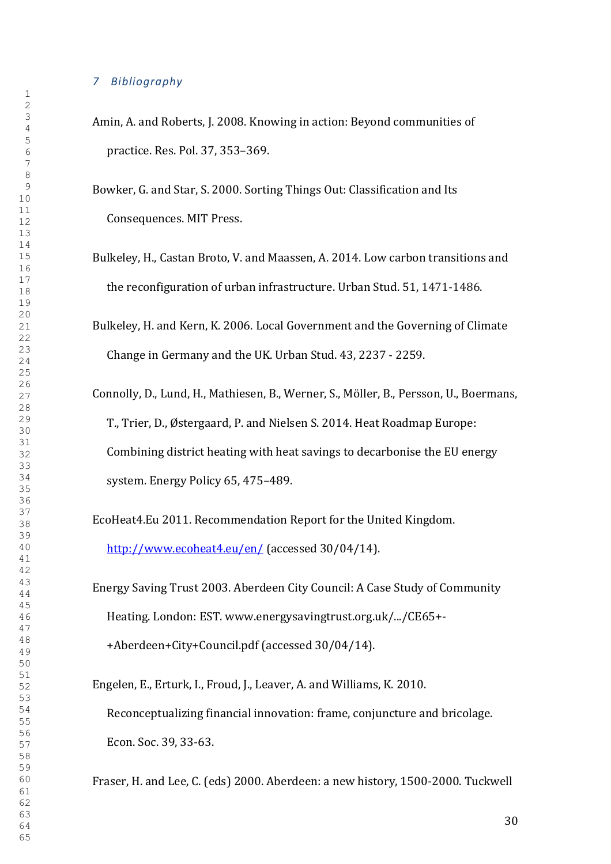#### *Bibliography*

- Amin, A. and Roberts, J. 2008. Knowing in action: Beyond communities of practice. Res. Pol. 37, 353–369.
- Bowker, G. and Star, S. 2000. Sorting Things Out: Classification and Its Consequences. MIT Press.
- Bulkeley, H., Castan Broto, V. and Maassen, A. 2014. Low carbon transitions and the reconfiguration of urban infrastructure. Urban Stud. 51, 1471-1486.
- Bulkeley, H. and Kern, K. 2006. Local Government and the Governing of Climate Change in Germany and the UK. Urban Stud. 43, 2237 - 2259.
- Connolly, D., Lund, H., Mathiesen, B., Werner, S., Möller, B., Persson, U., Boermans, T., Trier, D., Østergaard, P. and Nielsen S. 2014. Heat Roadmap Europe: Combining district heating with heat savings to decarbonise the EU energy system. Energy Policy 65, 475–489.

EcoHeat4.Eu 2011. Recommendation Report for the United Kingdom. <http://www.ecoheat4.eu/en/> (accessed 30/04/14).

Energy Saving Trust 2003. Aberdeen City Council: A Case Study of Community Heating. London: EST. www.energysavingtrust.org.uk/.../CE65+- +Aberdeen+City+Council.pdf (accessed 30/04/14).

Engelen, E., Erturk, I., Froud, J., Leaver, A. and Williams, K. 2010. Reconceptualizing financial innovation: frame, conjuncture and bricolage. Econ. Soc. 39, 33-63.

Fraser, H. and Lee, C. (eds) 2000. Aberdeen: a new history, 1500-2000. Tuckwell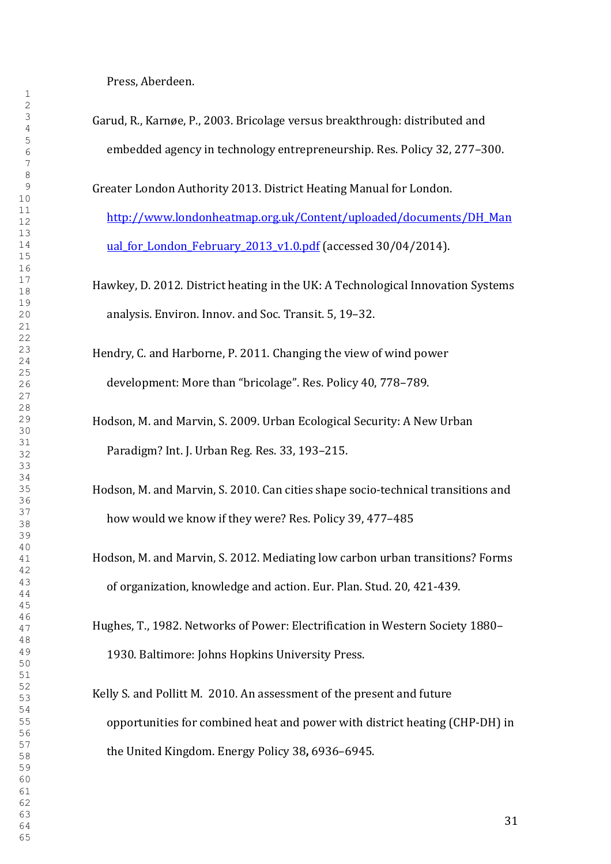Press, Aberdeen.

Garud, R., Karnøe, P., 2003. Bricolage versus breakthrough: distributed and embedded agency in technology entrepreneurship. Res. Policy 32, 277–300.

Greater London Authority 2013. District Heating Manual for London.

[http://www.londonheatmap.org.uk/Content/uploaded/documents/DH\\_Man](http://www.londonheatmap.org.uk/Content/uploaded/documents/DH_Manual_for_London_February_2013_v1.0.pdf) ual for London February 2013 v1.0.pdf (accessed 30/04/2014).

- Hawkey, D. 2012. District heating in the UK: A Technological Innovation Systems analysis. Environ. Innov. and Soc. Transit. 5, 19–32.
- Hendry, C. and Harborne, P. 2011. Changing the view of wind power development: More than "bricolage". Res. Policy 40, 778–789.
- Hodson, M. and Marvin, S. 2009. Urban Ecological Security: A New Urban Paradigm? Int. J. Urban Reg. Res. 33, 193–215.
- Hodson, M. and Marvin, S. 2010. Can cities shape socio-technical transitions and how would we know if they were? Res. Policy 39, 477–485
- Hodson, M. and Marvin, S. 2012. Mediating low carbon urban transitions? Forms of organization, knowledge and action. Eur. Plan. Stud. 20, 421-439.
- Hughes, T., 1982. Networks of Power: Electrification in Western Society 1880– 1930. Baltimore: Johns Hopkins University Press.
- Kelly S. and Pollitt M. 2010. An assessment of the present and future opportunities for combined heat and power with district heating (CHP-DH) in the United Kingdom. Energy Policy 38**,** 6936–6945.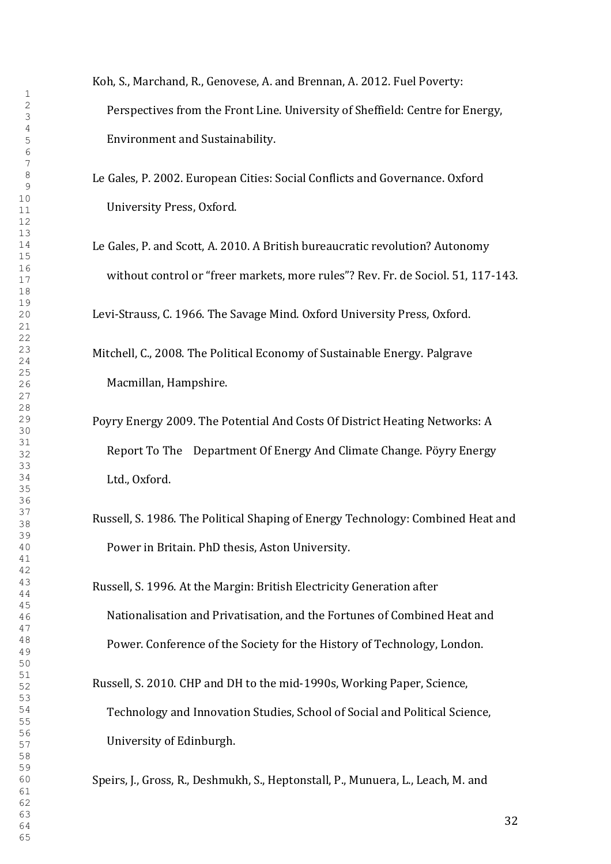- Koh, S., Marchand, R., Genovese, A. and Brennan, A. 2012. Fuel Poverty: Perspectives from the Front Line. University of Sheffield: Centre for Energy, Environment and Sustainability.
- Le Gales, P. 2002. European Cities: Social Conflicts and Governance. Oxford University Press, Oxford.
- Le Gales, P. and Scott, A. 2010. A British bureaucratic revolution? Autonomy without control or "freer markets, more rules"? Rev. Fr. de Sociol. 51, 117-143.

Levi-Strauss, C. 1966. The Savage Mind. Oxford University Press, Oxford.

- Mitchell, C., 2008. The Political Economy of Sustainable Energy. Palgrave Macmillan, Hampshire.
- Poyry Energy 2009. The Potential And Costs Of District Heating Networks: A Report To The Department Of Energy And Climate Change. Pöyry Energy Ltd., Oxford.
- Russell, S. 1986. The Political Shaping of Energy Technology: Combined Heat and Power in Britain. PhD thesis, Aston University.
- Russell, S. 1996. At the Margin: British Electricity Generation after Nationalisation and Privatisation, and the Fortunes of Combined Heat and Power. Conference of the Society for the History of Technology, London.
- Russell, S. 2010. CHP and DH to the mid-1990s, Working Paper, Science, Technology and Innovation Studies, School of Social and Political Science, University of Edinburgh.

Speirs, J., Gross, R., Deshmukh, S., Heptonstall, P., Munuera, L., Leach, M. and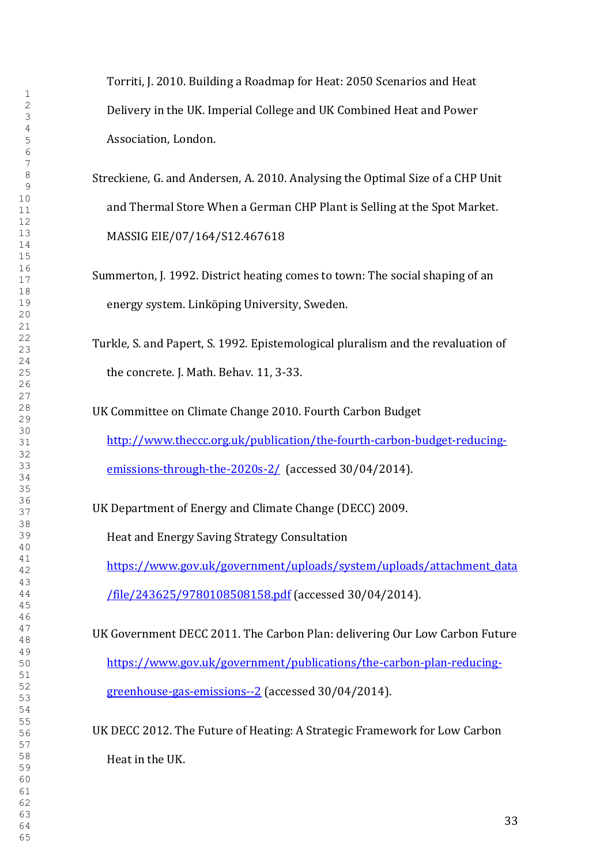Torriti, J. 2010. Building a Roadmap for Heat: 2050 Scenarios and Heat Delivery in the UK. Imperial College and UK Combined Heat and Power Association, London.

- Streckiene, G. and Andersen, A. 2010. Analysing the Optimal Size of a CHP Unit and Thermal Store When a German CHP Plant is Selling at the Spot Market. MASSIG EIE/07/164/S12.467618
- Summerton, J. 1992. District heating comes to town: The social shaping of an energy system. Linköping University, Sweden.
- Turkle, S. and Papert, S. 1992. Epistemological pluralism and the revaluation of the concrete. J. Math. Behav. 11, 3-33.

UK Committee on Climate Change 2010. Fourth Carbon Budget [http://www.theccc.org.uk/publication/the-fourth-carbon-budget-reducing](http://www.theccc.org.uk/publication/the-fourth-carbon-budget-reducing-emissions-through-the-2020s-2/)[emissions-through-the-2020s-2/](http://www.theccc.org.uk/publication/the-fourth-carbon-budget-reducing-emissions-through-the-2020s-2/) (accessed 30/04/2014).

UK Department of Energy and Climate Change (DECC) 2009.

Heat and Energy Saving Strategy Consultation

[https://www.gov.uk/government/uploads/system/uploads/attachment\\_data](https://www.gov.uk/government/uploads/system/uploads/attachment_data/file/243625/9780108508158.pdf) [/file/243625/9780108508158.pdf](https://www.gov.uk/government/uploads/system/uploads/attachment_data/file/243625/9780108508158.pdf) (accessed 30/04/2014).

UK Government DECC 2011. The Carbon Plan: delivering Our Low Carbon Future [https://www.gov.uk/government/publications/the-carbon-plan-reducing](https://www.gov.uk/government/publications/the-carbon-plan-reducing-greenhouse-gas-emissions--2)[greenhouse-gas-emissions--2](https://www.gov.uk/government/publications/the-carbon-plan-reducing-greenhouse-gas-emissions--2) (accessed 30/04/2014).

UK DECC 2012. The Future of Heating: A Strategic Framework for Low Carbon Heat in the UK.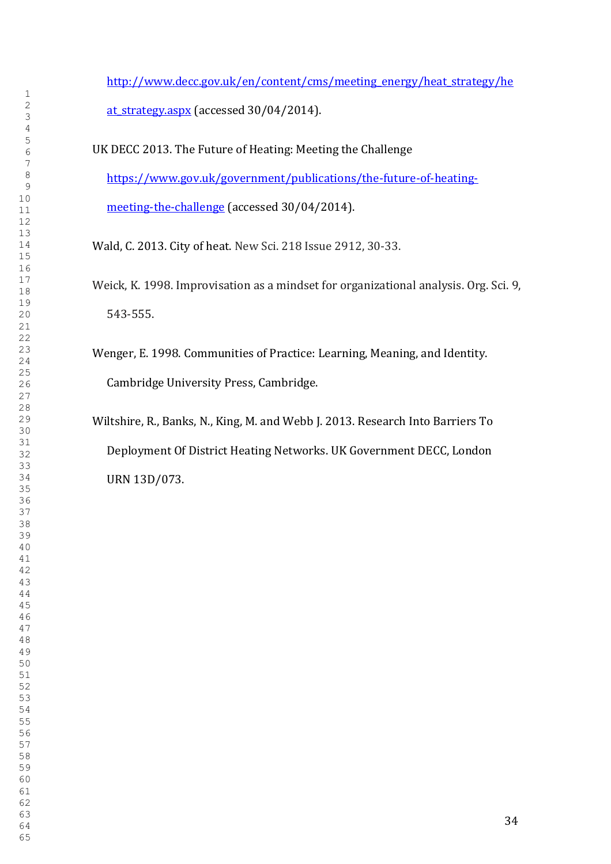[http://www.decc.gov.uk/en/content/cms/meeting\\_energy/heat\\_strategy/he](http://www.decc.gov.uk/en/content/cms/meeting_energy/heat_strategy/heat_strategy.aspx) at strategy.aspx (accessed 30/04/2014).

UK DECC 2013. The Future of Heating: Meeting the Challenge [https://www.gov.uk/government/publications/the-future-of-heating](https://www.gov.uk/government/publications/the-future-of-heating-meeting-the-challenge)[meeting-the-challenge](https://www.gov.uk/government/publications/the-future-of-heating-meeting-the-challenge) (accessed 30/04/2014).

Wald, C. 2013. City of heat. New Sci. 218 Issue 2912, 30-33.

- Weick, K. 1998. Improvisation as a mindset for organizational analysis. Org. Sci. 9, 543-555.
- Wenger, E. 1998. Communities of Practice: Learning, Meaning, and Identity. Cambridge University Press, Cambridge.

Wiltshire, R., Banks, N., King, M. and Webb J. 2013. Research Into Barriers To Deployment Of District Heating Networks. UK Government DECC, London URN 13D/073.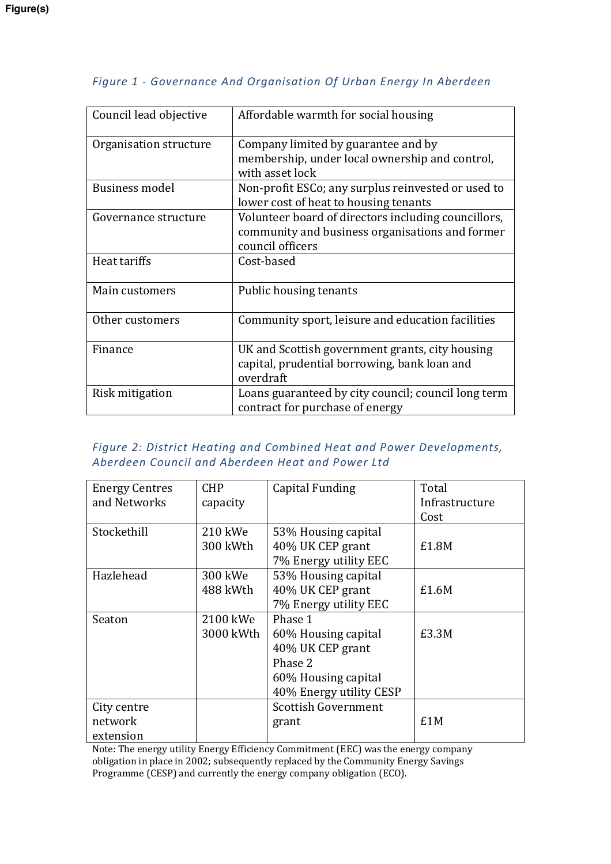| Council lead objective | Affordable warmth for social housing                                                                                       |  |  |
|------------------------|----------------------------------------------------------------------------------------------------------------------------|--|--|
| Organisation structure | Company limited by guarantee and by<br>membership, under local ownership and control,<br>with asset lock                   |  |  |
| Business model         | Non-profit ESCo; any surplus reinvested or used to<br>lower cost of heat to housing tenants                                |  |  |
| Governance structure   | Volunteer board of directors including councillors,<br>community and business organisations and former<br>council officers |  |  |
| Heat tariffs           | Cost-based                                                                                                                 |  |  |
| Main customers         | Public housing tenants                                                                                                     |  |  |
| Other customers        | Community sport, leisure and education facilities                                                                          |  |  |
| Finance                | UK and Scottish government grants, city housing<br>capital, prudential borrowing, bank loan and<br>overdraft               |  |  |
| Risk mitigation        | Loans guaranteed by city council; council long term<br>contract for purchase of energy                                     |  |  |

# *Figure 1 - Governance And Organisation Of Urban Energy In Aberdeen*

# *Figure 2: District Heating and Combined Heat and Power Developments, Aberdeen Council and Aberdeen Heat and Power Ltd*

| <b>Energy Centres</b> | <b>CHP</b> | Capital Funding            | Total          |
|-----------------------|------------|----------------------------|----------------|
| and Networks          | capacity   |                            | Infrastructure |
|                       |            |                            | Cost           |
| Stockethill           | 210 kWe    | 53% Housing capital        |                |
|                       | 300 kWth   | 40% UK CEP grant           | £1.8M          |
|                       |            | 7% Energy utility EEC      |                |
| Hazlehead             | 300 kWe    | 53% Housing capital        |                |
|                       | 488 kWth   | 40% UK CEP grant           | £1.6M          |
|                       |            | 7% Energy utility EEC      |                |
| Seaton                | 2100 kWe   | Phase 1                    |                |
|                       | 3000 kWth  | 60% Housing capital        | £3.3M          |
|                       |            | 40% UK CEP grant           |                |
|                       |            | Phase 2                    |                |
|                       |            | 60% Housing capital        |                |
|                       |            | 40% Energy utility CESP    |                |
| City centre           |            | <b>Scottish Government</b> |                |
| network               |            | grant                      | £1M            |
| extension             |            |                            |                |

Note: The energy utility Energy Efficiency Commitment (EEC) was the energy company obligation in place in 2002; subsequently replaced by the Community Energy Savings Programme (CESP) and currently the energy company obligation (ECO).